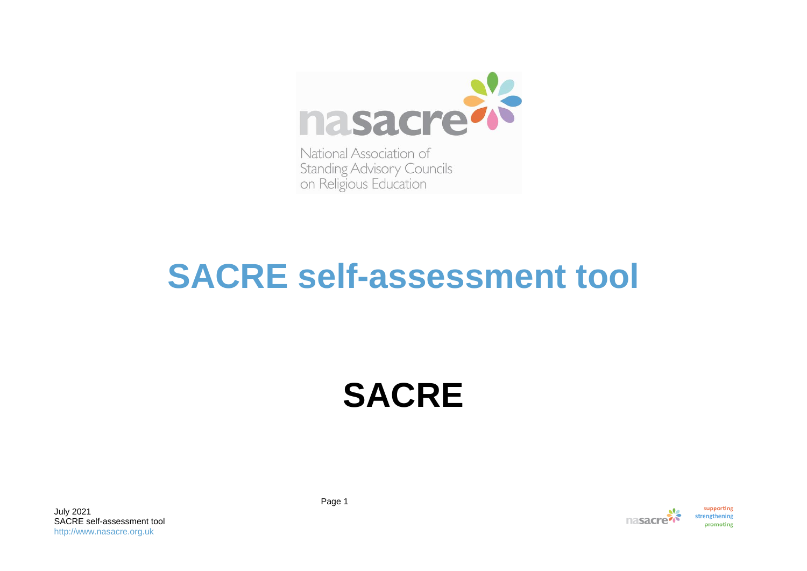

National Association of **Standing Advisory Councils** on Religious Education

# **SACRE self-assessment tool**

# **SACRE**



promoting

July 2021 SACRE self-assessment tool [http://www.nasacre.org.uk](http://www.nasacre.org.uk/)

Page 1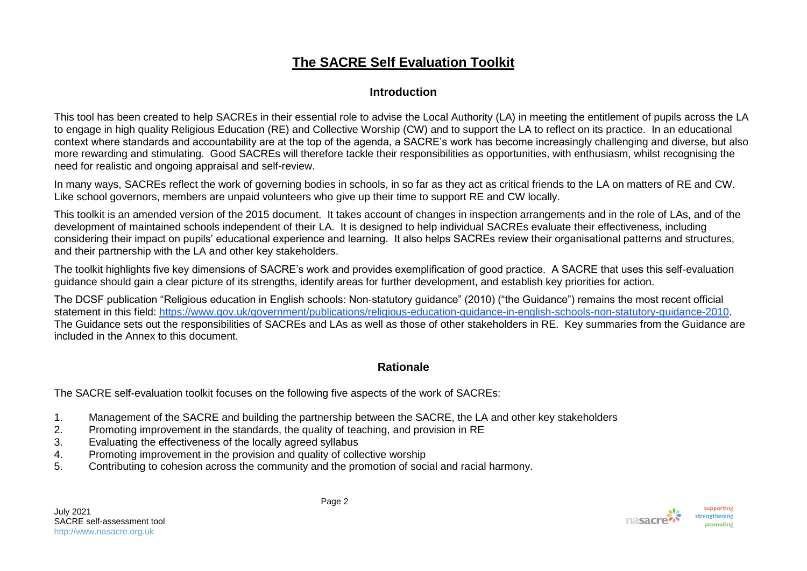## **The SACRE Self Evaluation Toolkit**

#### **Introduction**

This tool has been created to help SACREs in their essential role to advise the Local Authority (LA) in meeting the entitlement of pupils across the LA to engage in high quality Religious Education (RE) and Collective Worship (CW) and to support the LA to reflect on its practice. In an educational context where standards and accountability are at the top of the agenda, a SACRE's work has become increasingly challenging and diverse, but also more rewarding and stimulating. Good SACREs will therefore tackle their responsibilities as opportunities, with enthusiasm, whilst recognising the need for realistic and ongoing appraisal and self-review.

In many ways, SACREs reflect the work of governing bodies in schools, in so far as they act as critical friends to the LA on matters of RE and CW. Like school governors, members are unpaid volunteers who give up their time to support RE and CW locally.

This toolkit is an amended version of the 2015 document. It takes account of changes in inspection arrangements and in the role of LAs, and of the development of maintained schools independent of their LA. It is designed to help individual SACREs evaluate their effectiveness, including considering their impact on pupils' educational experience and learning. It also helps SACREs review their organisational patterns and structures, and their partnership with the LA and other key stakeholders.

The toolkit highlights five key dimensions of SACRE's work and provides exemplification of good practice. A SACRE that uses this self-evaluation guidance should gain a clear picture of its strengths, identify areas for further development, and establish key priorities for action.

The DCSF publication "Religious education in English schools: Non-statutory guidance" (2010) ("the Guidance") remains the most recent official statement in this field: [https://www.gov.uk/government/publications/religious-education-guidance-in-english-schools-non-statutory-guidance-2010.](https://www.gov.uk/government/publications/religious-education-guidance-in-english-schools-non-statutory-guidance-2010) The Guidance sets out the responsibilities of SACREs and LAs as well as those of other stakeholders in RE. Key summaries from the Guidance are included in the Annex to this document.

#### **Rationale**

The SACRE self-evaluation toolkit focuses on the following five aspects of the work of SACREs:

- 1. Management of the SACRE and building the partnership between the SACRE, the LA and other key stakeholders
- 2. Promoting improvement in the standards, the quality of teaching, and provision in RE
- 3. Evaluating the effectiveness of the locally agreed syllabus
- 4. Promoting improvement in the provision and quality of collective worship
- 5. Contributing to cohesion across the community and the promotion of social and racial harmony.

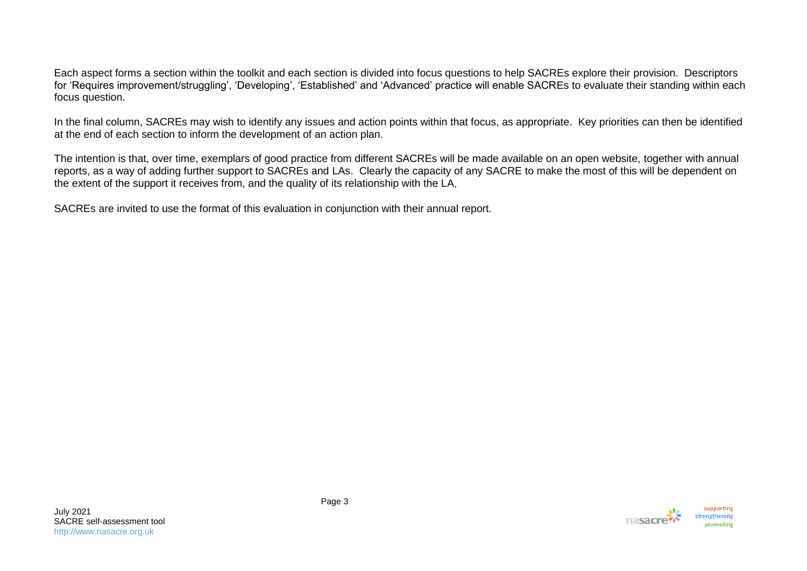Each aspect forms a section within the toolkit and each section is divided into focus questions to help SACREs explore their provision. Descriptors for 'Requires improvement/struggling', 'Developing', 'Established' and 'Advanced' practice will enable SACREs to evaluate their standing within each focus question.

In the final column, SACREs may wish to identify any issues and action points within that focus, as appropriate. Key priorities can then be identified at the end of each section to inform the development of an action plan.

The intention is that, over time, exemplars of good practice from different SACREs will be made available on an open website, together with annual reports, as a way of adding further support to SACREs and LAs. Clearly the capacity of any SACRE to make the most of this will be dependent on the extent of the support it receives from, and the quality of its relationship with the LA.

SACREs are invited to use the format of this evaluation in conjunction with their annual report.

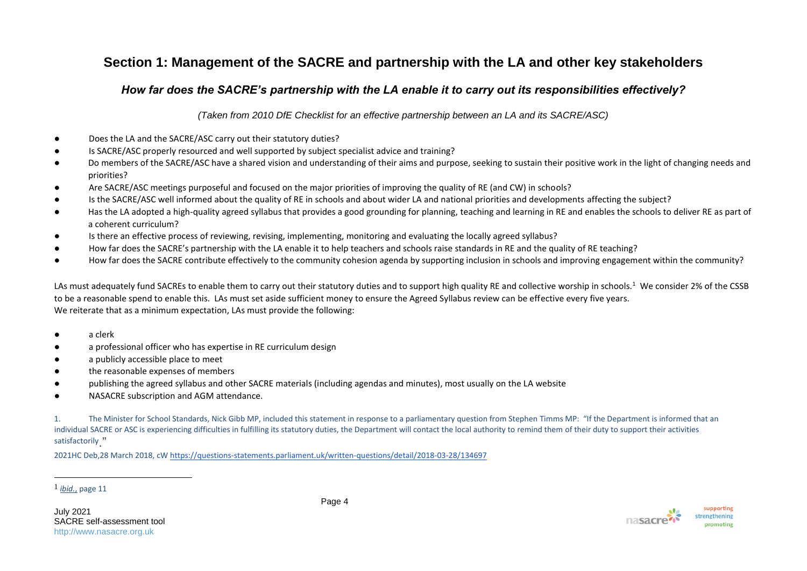## **Section 1: Management of the SACRE and partnership with the LA and other key stakeholders**

#### *How far does the SACRE's partnership with the LA enable it to carry out its responsibilities effectively?*

*(Taken from 2010 DfE Checklist for an effective partnership between an LA and its SACRE/ASC)*

- Does the LA and the SACRE/ASC carry out their statutory duties?
- Is SACRE/ASC properly resourced and well supported by subject specialist advice and training?
- Do members of the SACRE/ASC have a shared vision and understanding of their aims and purpose, seeking to sustain their positive work in the light of changing needs and priorities?
- Are SACRE/ASC meetings purposeful and focused on the major priorities of improving the quality of RE (and CW) in schools?
- Is the SACRE/ASC well informed about the quality of RE in schools and about wider LA and national priorities and developments affecting the subject?
- Has the LA adopted a high-quality agreed syllabus that provides a good grounding for planning, teaching and learning in RE and enables the schools to deliver RE as part of a coherent curriculum?
- Is there an effective process of reviewing, revising, implementing, monitoring and evaluating the locally agreed syllabus?
- How far does the SACRE's partnership with the LA enable it to help teachers and schools raise standards in RE and the quality of RE teaching?
- How far does the SACRE contribute effectively to the community cohesion agenda by supporting inclusion in schools and improving engagement within the community?

LAs must adequately fund SACREs to enable them to carry out their statutory duties and to support high quality RE and collective worship in schools.<sup>1</sup> We consider 2% of the CSSB to be a reasonable spend to enable this. LAs must set aside sufficient money to ensure the Agreed Syllabus review can be effective every five years. We reiterate that as a minimum expectation, LAs must provide the following:

- a clerk
- a professional officer who has expertise in RE curriculum design
- a publicly accessible place to meet
- the reasonable expenses of members
- publishing the agreed syllabus and other SACRE materials (including agendas and minutes), most usually on the LA website
- NASACRE subscription and AGM attendance.

1. The Minister for School Standards, Nick Gibb MP, included this statement in response to a parliamentary question from Stephen Timms MP: "If the Department is informed that an individual SACRE or ASC is experiencing difficulties in fulfilling its statutory duties, the Department will contact the local authority to remind them of their duty to support their activities satisfactorily"

2021HC Deb,28 March 2018, c[W https://questions-statements.parliament.uk/written-questions/detail/2018-03-28/134697](https://questions-statements.parliament.uk/written-questions/detail/2018-03-28/134697)

#### 1 *[ibid.](https://assets.publishing.service.gov.uk/government/uploads/system/uploads/attachment_data/file/190260/DCSF-00114-2010.pdf)*, page 11

 $\overline{a}$ 

July 2021 SACRE self-assessment tool [http://www.nasacre.org.uk](http://www.nasacre.org.uk/)

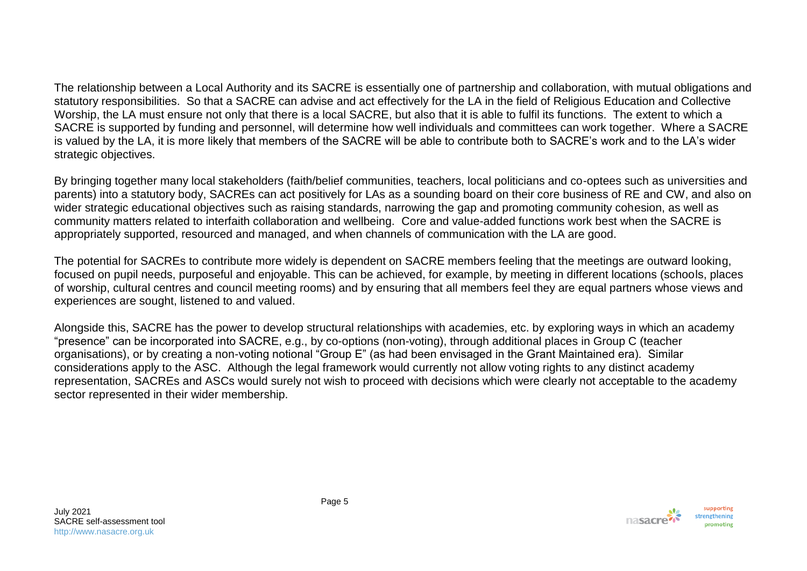The relationship between a Local Authority and its SACRE is essentially one of partnership and collaboration, with mutual obligations and statutory responsibilities. So that a SACRE can advise and act effectively for the LA in the field of Religious Education and Collective Worship, the LA must ensure not only that there is a local SACRE, but also that it is able to fulfil its functions. The extent to which a SACRE is supported by funding and personnel, will determine how well individuals and committees can work together. Where a SACRE is valued by the LA, it is more likely that members of the SACRE will be able to contribute both to SACRE's work and to the LA's wider strategic objectives.

By bringing together many local stakeholders (faith/belief communities, teachers, local politicians and co-optees such as universities and parents) into a statutory body, SACREs can act positively for LAs as a sounding board on their core business of RE and CW, and also on wider strategic educational objectives such as raising standards, narrowing the gap and promoting community cohesion, as well as community matters related to interfaith collaboration and wellbeing. Core and value-added functions work best when the SACRE is appropriately supported, resourced and managed, and when channels of communication with the LA are good.

The potential for SACREs to contribute more widely is dependent on SACRE members feeling that the meetings are outward looking, focused on pupil needs, purposeful and enjoyable. This can be achieved, for example, by meeting in different locations (schools, places of worship, cultural centres and council meeting rooms) and by ensuring that all members feel they are equal partners whose views and experiences are sought, listened to and valued.

Alongside this, SACRE has the power to develop structural relationships with academies, etc. by exploring ways in which an academy "presence" can be incorporated into SACRE, e.g., by co-options (non-voting), through additional places in Group C (teacher organisations), or by creating a non-voting notional "Group E" (as had been envisaged in the Grant Maintained era). Similar considerations apply to the ASC. Although the legal framework would currently not allow voting rights to any distinct academy representation, SACREs and ASCs would surely not wish to proceed with decisions which were clearly not acceptable to the academy sector represented in their wider membership.

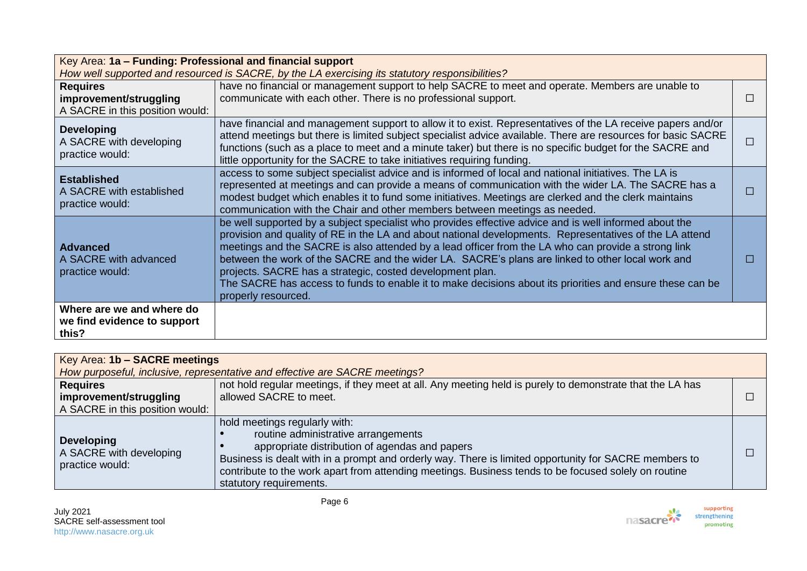| Key Area: 1a - Funding: Professional and financial support                                      |                                                                                                                                                                                                                                                                                                                                                                                                                                                                                                                                                                                                                               |  |
|-------------------------------------------------------------------------------------------------|-------------------------------------------------------------------------------------------------------------------------------------------------------------------------------------------------------------------------------------------------------------------------------------------------------------------------------------------------------------------------------------------------------------------------------------------------------------------------------------------------------------------------------------------------------------------------------------------------------------------------------|--|
| How well supported and resourced is SACRE, by the LA exercising its statutory responsibilities? |                                                                                                                                                                                                                                                                                                                                                                                                                                                                                                                                                                                                                               |  |
| <b>Requires</b>                                                                                 | have no financial or management support to help SACRE to meet and operate. Members are unable to                                                                                                                                                                                                                                                                                                                                                                                                                                                                                                                              |  |
| improvement/struggling                                                                          | communicate with each other. There is no professional support.                                                                                                                                                                                                                                                                                                                                                                                                                                                                                                                                                                |  |
| A SACRE in this position would:                                                                 |                                                                                                                                                                                                                                                                                                                                                                                                                                                                                                                                                                                                                               |  |
| <b>Developing</b><br>A SACRE with developing<br>practice would:                                 | have financial and management support to allow it to exist. Representatives of the LA receive papers and/or<br>attend meetings but there is limited subject specialist advice available. There are resources for basic SACRE<br>functions (such as a place to meet and a minute taker) but there is no specific budget for the SACRE and<br>little opportunity for the SACRE to take initiatives requiring funding.                                                                                                                                                                                                           |  |
| <b>Established</b><br>A SACRE with established<br>practice would:                               | access to some subject specialist advice and is informed of local and national initiatives. The LA is<br>represented at meetings and can provide a means of communication with the wider LA. The SACRE has a<br>modest budget which enables it to fund some initiatives. Meetings are clerked and the clerk maintains<br>communication with the Chair and other members between meetings as needed.                                                                                                                                                                                                                           |  |
| <b>Advanced</b><br>A SACRE with advanced<br>practice would:                                     | be well supported by a subject specialist who provides effective advice and is well informed about the<br>provision and quality of RE in the LA and about national developments. Representatives of the LA attend<br>meetings and the SACRE is also attended by a lead officer from the LA who can provide a strong link<br>between the work of the SACRE and the wider LA. SACRE's plans are linked to other local work and<br>projects. SACRE has a strategic, costed development plan.<br>The SACRE has access to funds to enable it to make decisions about its priorities and ensure these can be<br>properly resourced. |  |
| Where are we and where do<br>we find evidence to support<br>this?                               |                                                                                                                                                                                                                                                                                                                                                                                                                                                                                                                                                                                                                               |  |

| Key Area: 1b - SACRE meetings                                   |                                                                                                                                                                                                                                                                                                                                                                    |  |
|-----------------------------------------------------------------|--------------------------------------------------------------------------------------------------------------------------------------------------------------------------------------------------------------------------------------------------------------------------------------------------------------------------------------------------------------------|--|
|                                                                 | How purposeful, inclusive, representative and effective are SACRE meetings?                                                                                                                                                                                                                                                                                        |  |
| <b>Requires</b>                                                 | not hold regular meetings, if they meet at all. Any meeting held is purely to demonstrate that the LA has                                                                                                                                                                                                                                                          |  |
| improvement/struggling                                          | allowed SACRE to meet.                                                                                                                                                                                                                                                                                                                                             |  |
| A SACRE in this position would:                                 |                                                                                                                                                                                                                                                                                                                                                                    |  |
| <b>Developing</b><br>A SACRE with developing<br>practice would: | hold meetings regularly with:<br>routine administrative arrangements<br>appropriate distribution of agendas and papers<br>Business is dealt with in a prompt and orderly way. There is limited opportunity for SACRE members to<br>contribute to the work apart from attending meetings. Business tends to be focused solely on routine<br>statutory requirements. |  |

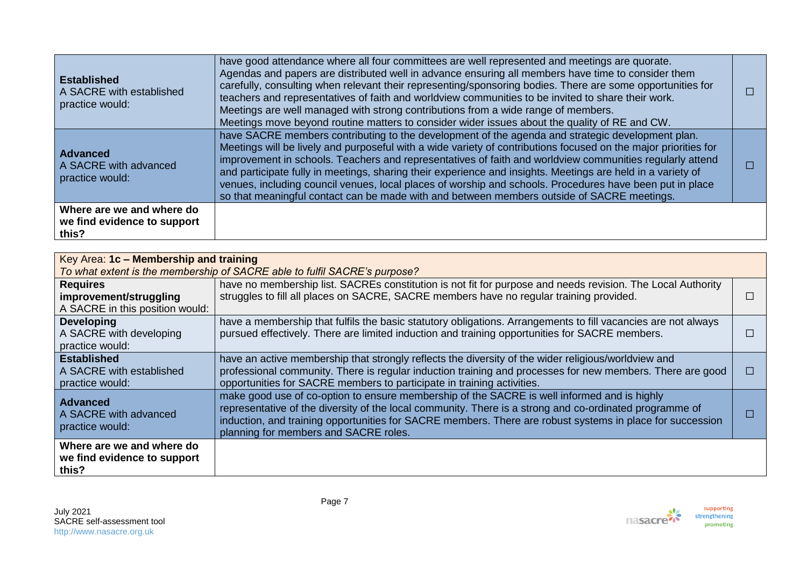| <b>Established</b><br>A SACRE with established<br>practice would: | have good attendance where all four committees are well represented and meetings are quorate.<br>Agendas and papers are distributed well in advance ensuring all members have time to consider them<br>carefully, consulting when relevant their representing/sponsoring bodies. There are some opportunities for<br>teachers and representatives of faith and worldview communities to be invited to share their work.<br>Meetings are well managed with strong contributions from a wide range of members.<br>Meetings move beyond routine matters to consider wider issues about the quality of RE and CW.                                            |  |
|-------------------------------------------------------------------|----------------------------------------------------------------------------------------------------------------------------------------------------------------------------------------------------------------------------------------------------------------------------------------------------------------------------------------------------------------------------------------------------------------------------------------------------------------------------------------------------------------------------------------------------------------------------------------------------------------------------------------------------------|--|
| <b>Advanced</b><br>A SACRE with advanced<br>practice would:       | have SACRE members contributing to the development of the agenda and strategic development plan.<br>Meetings will be lively and purposeful with a wide variety of contributions focused on the major priorities for<br>improvement in schools. Teachers and representatives of faith and worldview communities regularly attend<br>and participate fully in meetings, sharing their experience and insights. Meetings are held in a variety of<br>venues, including council venues, local places of worship and schools. Procedures have been put in place<br>so that meaningful contact can be made with and between members outside of SACRE meetings. |  |
| Where are we and where do<br>we find evidence to support<br>this? |                                                                                                                                                                                                                                                                                                                                                                                                                                                                                                                                                                                                                                                          |  |

| Key Area: 1c - Membership and training                            |                                                                                                                                                                                                                                                                                                                                                              |  |
|-------------------------------------------------------------------|--------------------------------------------------------------------------------------------------------------------------------------------------------------------------------------------------------------------------------------------------------------------------------------------------------------------------------------------------------------|--|
|                                                                   | To what extent is the membership of SACRE able to fulfil SACRE's purpose?                                                                                                                                                                                                                                                                                    |  |
| <b>Requires</b>                                                   | have no membership list. SACREs constitution is not fit for purpose and needs revision. The Local Authority                                                                                                                                                                                                                                                  |  |
| improvement/struggling                                            | struggles to fill all places on SACRE, SACRE members have no regular training provided.                                                                                                                                                                                                                                                                      |  |
| A SACRE in this position would:                                   |                                                                                                                                                                                                                                                                                                                                                              |  |
| <b>Developing</b>                                                 | have a membership that fulfils the basic statutory obligations. Arrangements to fill vacancies are not always                                                                                                                                                                                                                                                |  |
| A SACRE with developing                                           | pursued effectively. There are limited induction and training opportunities for SACRE members.                                                                                                                                                                                                                                                               |  |
| practice would:                                                   |                                                                                                                                                                                                                                                                                                                                                              |  |
| <b>Established</b>                                                | have an active membership that strongly reflects the diversity of the wider religious/worldview and                                                                                                                                                                                                                                                          |  |
| A SACRE with established                                          | professional community. There is regular induction training and processes for new members. There are good                                                                                                                                                                                                                                                    |  |
| practice would:                                                   | opportunities for SACRE members to participate in training activities.                                                                                                                                                                                                                                                                                       |  |
| <b>Advanced</b><br>A SACRE with advanced<br>practice would:       | make good use of co-option to ensure membership of the SACRE is well informed and is highly<br>representative of the diversity of the local community. There is a strong and co-ordinated programme of<br>induction, and training opportunities for SACRE members. There are robust systems in place for succession<br>planning for members and SACRE roles. |  |
| Where are we and where do<br>we find evidence to support<br>this? |                                                                                                                                                                                                                                                                                                                                                              |  |

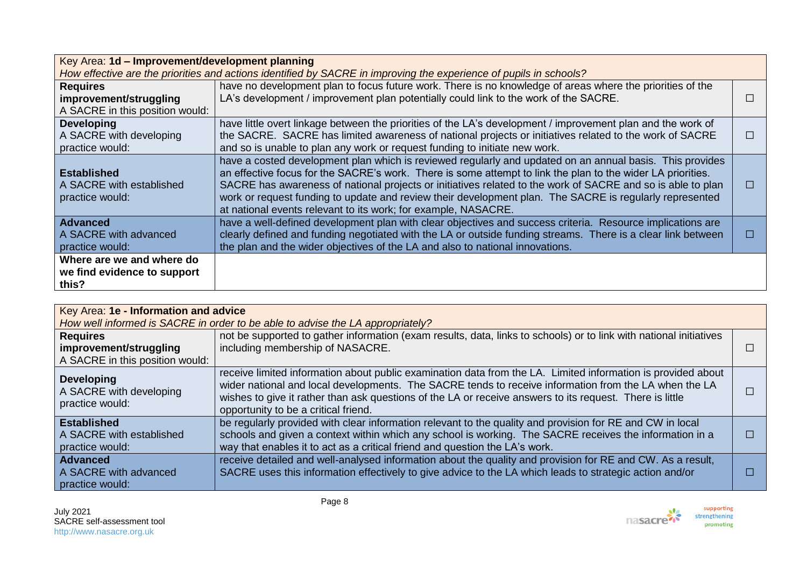| Key Area: 1d - Improvement/development planning                                                                    |                                                                                                                                                                                                                                                                                                                                                                                                                                                                                                                     |   |
|--------------------------------------------------------------------------------------------------------------------|---------------------------------------------------------------------------------------------------------------------------------------------------------------------------------------------------------------------------------------------------------------------------------------------------------------------------------------------------------------------------------------------------------------------------------------------------------------------------------------------------------------------|---|
| How effective are the priorities and actions identified by SACRE in improving the experience of pupils in schools? |                                                                                                                                                                                                                                                                                                                                                                                                                                                                                                                     |   |
| <b>Requires</b>                                                                                                    | have no development plan to focus future work. There is no knowledge of areas where the priorities of the                                                                                                                                                                                                                                                                                                                                                                                                           |   |
| improvement/struggling                                                                                             | LA's development / improvement plan potentially could link to the work of the SACRE.                                                                                                                                                                                                                                                                                                                                                                                                                                |   |
| A SACRE in this position would:                                                                                    |                                                                                                                                                                                                                                                                                                                                                                                                                                                                                                                     |   |
| <b>Developing</b>                                                                                                  | have little overt linkage between the priorities of the LA's development / improvement plan and the work of                                                                                                                                                                                                                                                                                                                                                                                                         |   |
| A SACRE with developing                                                                                            | the SACRE. SACRE has limited awareness of national projects or initiatives related to the work of SACRE                                                                                                                                                                                                                                                                                                                                                                                                             |   |
| practice would:                                                                                                    | and so is unable to plan any work or request funding to initiate new work.                                                                                                                                                                                                                                                                                                                                                                                                                                          |   |
| <b>Established</b><br>A SACRE with established<br>practice would:                                                  | have a costed development plan which is reviewed regularly and updated on an annual basis. This provides<br>an effective focus for the SACRE's work. There is some attempt to link the plan to the wider LA priorities.<br>SACRE has awareness of national projects or initiatives related to the work of SACRE and so is able to plan<br>work or request funding to update and review their development plan. The SACRE is regularly represented<br>at national events relevant to its work; for example, NASACRE. |   |
| <b>Advanced</b><br>A SACRE with advanced<br>practice would:                                                        | have a well-defined development plan with clear objectives and success criteria. Resource implications are<br>clearly defined and funding negotiated with the LA or outside funding streams. There is a clear link between<br>the plan and the wider objectives of the LA and also to national innovations.                                                                                                                                                                                                         | П |
| Where are we and where do<br>we find evidence to support<br>this?                                                  |                                                                                                                                                                                                                                                                                                                                                                                                                                                                                                                     |   |

| Key Area: 1e - Information and advice                                        |                                                                                                                                                                                                                                                                                                                                                                           |  |
|------------------------------------------------------------------------------|---------------------------------------------------------------------------------------------------------------------------------------------------------------------------------------------------------------------------------------------------------------------------------------------------------------------------------------------------------------------------|--|
|                                                                              | How well informed is SACRE in order to be able to advise the LA appropriately?                                                                                                                                                                                                                                                                                            |  |
| <b>Requires</b><br>improvement/struggling<br>A SACRE in this position would: | not be supported to gather information (exam results, data, links to schools) or to link with national initiatives<br>including membership of NASACRE.                                                                                                                                                                                                                    |  |
| <b>Developing</b><br>A SACRE with developing<br>practice would:              | receive limited information about public examination data from the LA. Limited information is provided about<br>wider national and local developments. The SACRE tends to receive information from the LA when the LA<br>wishes to give it rather than ask questions of the LA or receive answers to its request. There is little<br>opportunity to be a critical friend. |  |
| <b>Established</b><br>A SACRE with established<br>practice would:            | be regularly provided with clear information relevant to the quality and provision for RE and CW in local<br>schools and given a context within which any school is working. The SACRE receives the information in a<br>way that enables it to act as a critical friend and question the LA's work.                                                                       |  |
| <b>Advanced</b><br>A SACRE with advanced<br>practice would:                  | receive detailed and well-analysed information about the quality and provision for RE and CW. As a result,<br>SACRE uses this information effectively to give advice to the LA which leads to strategic action and/or                                                                                                                                                     |  |

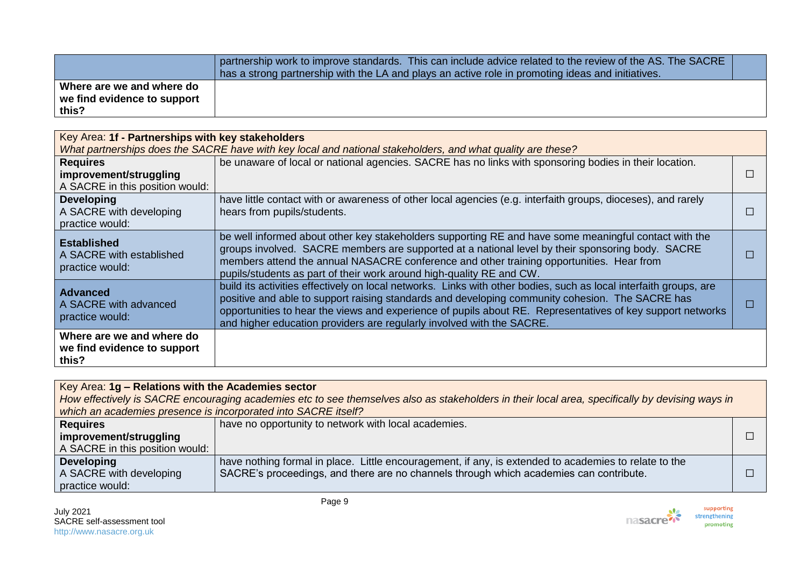|                                                          | partnership work to improve standards. This can include advice related to the review of the AS. The SACRE<br>has a strong partnership with the LA and plays an active role in promoting ideas and initiatives. |  |
|----------------------------------------------------------|----------------------------------------------------------------------------------------------------------------------------------------------------------------------------------------------------------------|--|
| Where are we and where do<br>we find evidence to support |                                                                                                                                                                                                                |  |
| this?                                                    |                                                                                                                                                                                                                |  |

| Key Area: 1f - Partnerships with key stakeholders                 |                                                                                                                                                                                                                                                                                                                                                                                                             |  |
|-------------------------------------------------------------------|-------------------------------------------------------------------------------------------------------------------------------------------------------------------------------------------------------------------------------------------------------------------------------------------------------------------------------------------------------------------------------------------------------------|--|
|                                                                   | What partnerships does the SACRE have with key local and national stakeholders, and what quality are these?                                                                                                                                                                                                                                                                                                 |  |
| <b>Requires</b>                                                   | be unaware of local or national agencies. SACRE has no links with sponsoring bodies in their location.                                                                                                                                                                                                                                                                                                      |  |
| improvement/struggling                                            |                                                                                                                                                                                                                                                                                                                                                                                                             |  |
| A SACRE in this position would:                                   |                                                                                                                                                                                                                                                                                                                                                                                                             |  |
| <b>Developing</b><br>A SACRE with developing<br>practice would:   | have little contact with or awareness of other local agencies (e.g. interfaith groups, dioceses), and rarely<br>hears from pupils/students.                                                                                                                                                                                                                                                                 |  |
| <b>Established</b><br>A SACRE with established<br>practice would: | be well informed about other key stakeholders supporting RE and have some meaningful contact with the<br>groups involved. SACRE members are supported at a national level by their sponsoring body. SACRE<br>members attend the annual NASACRE conference and other training opportunities. Hear from<br>pupils/students as part of their work around high-quality RE and CW.                               |  |
| <b>Advanced</b><br>A SACRE with advanced<br>practice would:       | build its activities effectively on local networks. Links with other bodies, such as local interfaith groups, are<br>positive and able to support raising standards and developing community cohesion. The SACRE has<br>opportunities to hear the views and experience of pupils about RE. Representatives of key support networks<br>and higher education providers are regularly involved with the SACRE. |  |
| Where are we and where do<br>we find evidence to support<br>this? |                                                                                                                                                                                                                                                                                                                                                                                                             |  |

| Key Area: 1g - Relations with the Academies sector             |                                                                                                                                                 |  |
|----------------------------------------------------------------|-------------------------------------------------------------------------------------------------------------------------------------------------|--|
|                                                                | How effectively is SACRE encouraging academies etc to see themselves also as stakeholders in their local area, specifically by devising ways in |  |
| which an academies presence is incorporated into SACRE itself? |                                                                                                                                                 |  |
| <b>Requires</b>                                                | have no opportunity to network with local academies.                                                                                            |  |
| improvement/struggling                                         |                                                                                                                                                 |  |
| A SACRE in this position would:                                |                                                                                                                                                 |  |
| <b>Developing</b>                                              | have nothing formal in place. Little encouragement, if any, is extended to academies to relate to the                                           |  |
| A SACRE with developing                                        | SACRE's proceedings, and there are no channels through which academies can contribute.                                                          |  |
| practice would:                                                |                                                                                                                                                 |  |

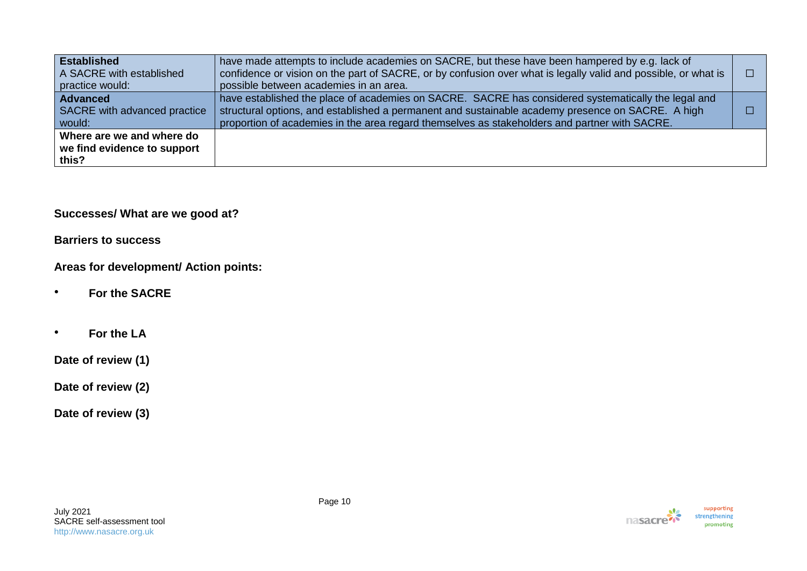| <b>Established</b><br>A SACRE with established<br>practice would: | have made attempts to include academies on SACRE, but these have been hampered by e.g. lack of<br>confidence or vision on the part of SACRE, or by confusion over what is legally valid and possible, or what is<br>possible between academies in an area.                                                |  |
|-------------------------------------------------------------------|-----------------------------------------------------------------------------------------------------------------------------------------------------------------------------------------------------------------------------------------------------------------------------------------------------------|--|
| <b>Advanced</b><br>SACRE with advanced practice<br>would:         | have established the place of academies on SACRE. SACRE has considered systematically the legal and<br>structural options, and established a permanent and sustainable academy presence on SACRE. A high<br>proportion of academies in the area regard themselves as stakeholders and partner with SACRE. |  |
| Where are we and where do<br>we find evidence to support<br>this? |                                                                                                                                                                                                                                                                                                           |  |

#### **Barriers to success**

**Areas for development/ Action points:**

- **For the SACRE**
- **For the LA**

**Date of review (1)** 

**Date of review (2)** 

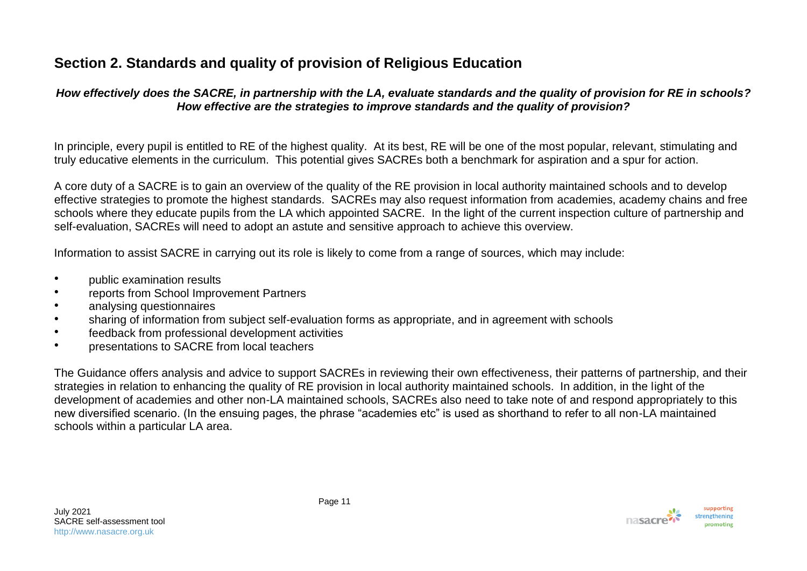# **Section 2. Standards and quality of provision of Religious Education**

#### *How effectively does the SACRE, in partnership with the LA, evaluate standards and the quality of provision for RE in schools? How effective are the strategies to improve standards and the quality of provision?*

In principle, every pupil is entitled to RE of the highest quality. At its best, RE will be one of the most popular, relevant, stimulating and truly educative elements in the curriculum. This potential gives SACREs both a benchmark for aspiration and a spur for action.

A core duty of a SACRE is to gain an overview of the quality of the RE provision in local authority maintained schools and to develop effective strategies to promote the highest standards. SACREs may also request information from academies, academy chains and free schools where they educate pupils from the LA which appointed SACRE. In the light of the current inspection culture of partnership and self-evaluation, SACREs will need to adopt an astute and sensitive approach to achieve this overview.

Information to assist SACRE in carrying out its role is likely to come from a range of sources, which may include:

- public examination results
- reports from School Improvement Partners
- analysing questionnaires
- sharing of information from subject self-evaluation forms as appropriate, and in agreement with schools
- feedback from professional development activities
- presentations to SACRE from local teachers

The Guidance offers analysis and advice to support SACREs in reviewing their own effectiveness, their patterns of partnership, and their strategies in relation to enhancing the quality of RE provision in local authority maintained schools. In addition, in the light of the development of academies and other non-LA maintained schools, SACREs also need to take note of and respond appropriately to this new diversified scenario. (In the ensuing pages, the phrase "academies etc" is used as shorthand to refer to all non-LA maintained schools within a particular LA area.

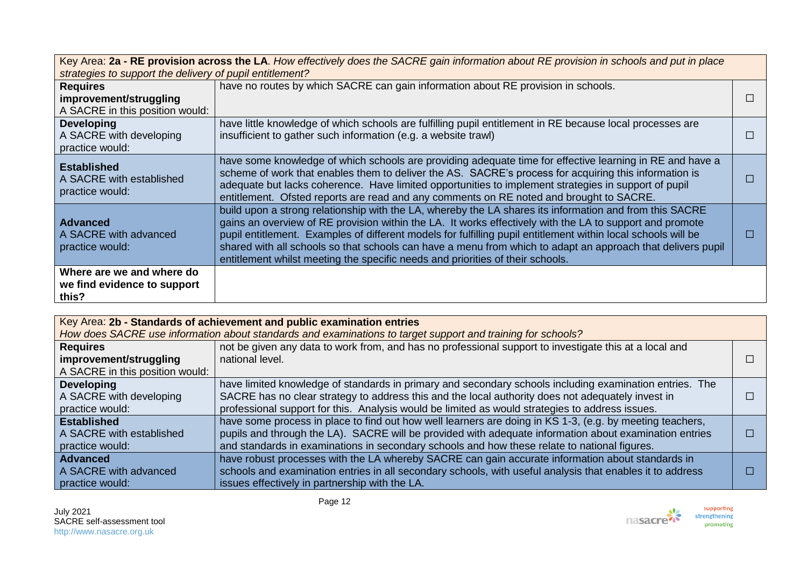| Key Area: 2a - RE provision across the LA. How effectively does the SACRE gain information about RE provision in schools and put in place |                                                                                                                                                                                                                                                                                                                                                                                                                                                                                                                                       |  |  |
|-------------------------------------------------------------------------------------------------------------------------------------------|---------------------------------------------------------------------------------------------------------------------------------------------------------------------------------------------------------------------------------------------------------------------------------------------------------------------------------------------------------------------------------------------------------------------------------------------------------------------------------------------------------------------------------------|--|--|
|                                                                                                                                           | strategies to support the delivery of pupil entitlement?                                                                                                                                                                                                                                                                                                                                                                                                                                                                              |  |  |
| <b>Requires</b>                                                                                                                           | have no routes by which SACRE can gain information about RE provision in schools.                                                                                                                                                                                                                                                                                                                                                                                                                                                     |  |  |
| improvement/struggling<br>A SACRE in this position would:                                                                                 |                                                                                                                                                                                                                                                                                                                                                                                                                                                                                                                                       |  |  |
| <b>Developing</b><br>A SACRE with developing<br>practice would:                                                                           | have little knowledge of which schools are fulfilling pupil entitlement in RE because local processes are<br>insufficient to gather such information (e.g. a website trawl)                                                                                                                                                                                                                                                                                                                                                           |  |  |
| <b>Established</b><br>A SACRE with established<br>practice would:                                                                         | have some knowledge of which schools are providing adequate time for effective learning in RE and have a<br>scheme of work that enables them to deliver the AS. SACRE's process for acquiring this information is<br>adequate but lacks coherence. Have limited opportunities to implement strategies in support of pupil<br>entitlement. Ofsted reports are read and any comments on RE noted and brought to SACRE.                                                                                                                  |  |  |
| <b>Advanced</b><br>A SACRE with advanced<br>practice would:                                                                               | build upon a strong relationship with the LA, whereby the LA shares its information and from this SACRE<br>gains an overview of RE provision within the LA. It works effectively with the LA to support and promote<br>pupil entitlement. Examples of different models for fulfilling pupil entitlement within local schools will be<br>shared with all schools so that schools can have a menu from which to adapt an approach that delivers pupil<br>entitlement whilst meeting the specific needs and priorities of their schools. |  |  |
| Where are we and where do<br>we find evidence to support<br>this?                                                                         |                                                                                                                                                                                                                                                                                                                                                                                                                                                                                                                                       |  |  |

| Key Area: 2b - Standards of achievement and public examination entries       |                                                                                                                                                                                                                                                                                                                    |  |
|------------------------------------------------------------------------------|--------------------------------------------------------------------------------------------------------------------------------------------------------------------------------------------------------------------------------------------------------------------------------------------------------------------|--|
|                                                                              | How does SACRE use information about standards and examinations to target support and training for schools?                                                                                                                                                                                                        |  |
| <b>Requires</b><br>improvement/struggling<br>A SACRE in this position would: | not be given any data to work from, and has no professional support to investigate this at a local and<br>national level.                                                                                                                                                                                          |  |
| <b>Developing</b><br>A SACRE with developing<br>practice would:              | have limited knowledge of standards in primary and secondary schools including examination entries. The<br>SACRE has no clear strategy to address this and the local authority does not adequately invest in<br>professional support for this. Analysis would be limited as would strategies to address issues.    |  |
| <b>Established</b><br>A SACRE with established<br>practice would:            | have some process in place to find out how well learners are doing in KS 1-3, (e.g. by meeting teachers,<br>pupils and through the LA). SACRE will be provided with adequate information about examination entries<br>and standards in examinations in secondary schools and how these relate to national figures. |  |
| <b>Advanced</b><br>A SACRE with advanced<br>practice would:                  | have robust processes with the LA whereby SACRE can gain accurate information about standards in<br>schools and examination entries in all secondary schools, with useful analysis that enables it to address<br>issues effectively in partnership with the LA.                                                    |  |

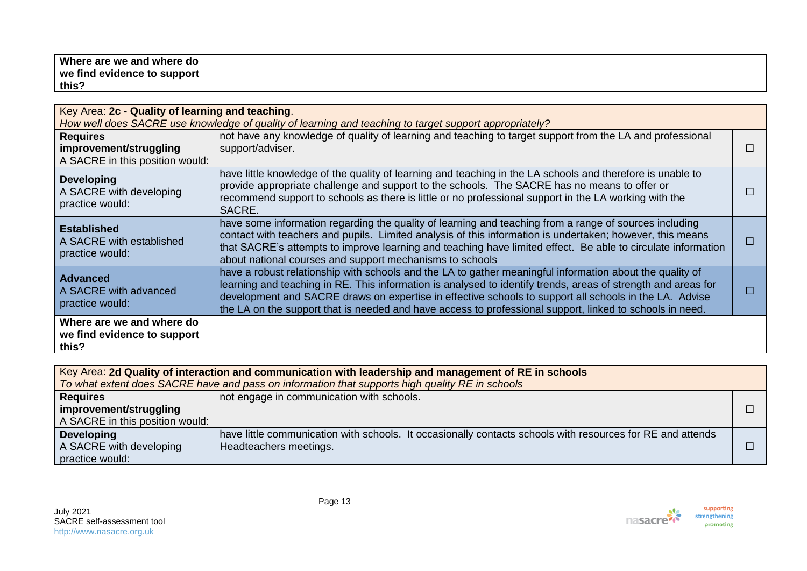| Where are we and where do   |  |
|-----------------------------|--|
| we find evidence to support |  |
| this $2$                    |  |

| Key Area: 2c - Quality of learning and teaching.                  |                                                                                                                                                                                                                                                                                                                                                                                                                                                 |  |
|-------------------------------------------------------------------|-------------------------------------------------------------------------------------------------------------------------------------------------------------------------------------------------------------------------------------------------------------------------------------------------------------------------------------------------------------------------------------------------------------------------------------------------|--|
|                                                                   | How well does SACRE use knowledge of quality of learning and teaching to target support appropriately?                                                                                                                                                                                                                                                                                                                                          |  |
| <b>Requires</b>                                                   | not have any knowledge of quality of learning and teaching to target support from the LA and professional                                                                                                                                                                                                                                                                                                                                       |  |
| improvement/struggling                                            | support/adviser.                                                                                                                                                                                                                                                                                                                                                                                                                                |  |
| A SACRE in this position would:                                   |                                                                                                                                                                                                                                                                                                                                                                                                                                                 |  |
| <b>Developing</b><br>A SACRE with developing<br>practice would:   | have little knowledge of the quality of learning and teaching in the LA schools and therefore is unable to<br>provide appropriate challenge and support to the schools. The SACRE has no means to offer or<br>recommend support to schools as there is little or no professional support in the LA working with the<br>SACRE.                                                                                                                   |  |
| <b>Established</b><br>A SACRE with established<br>practice would: | have some information regarding the quality of learning and teaching from a range of sources including<br>contact with teachers and pupils. Limited analysis of this information is undertaken; however, this means<br>that SACRE's attempts to improve learning and teaching have limited effect. Be able to circulate information<br>about national courses and support mechanisms to schools                                                 |  |
| <b>Advanced</b><br>A SACRE with advanced<br>practice would:       | have a robust relationship with schools and the LA to gather meaningful information about the quality of<br>learning and teaching in RE. This information is analysed to identify trends, areas of strength and areas for<br>development and SACRE draws on expertise in effective schools to support all schools in the LA. Advise<br>the LA on the support that is needed and have access to professional support, linked to schools in need. |  |
| Where are we and where do<br>we find evidence to support<br>this? |                                                                                                                                                                                                                                                                                                                                                                                                                                                 |  |

| Key Area: 2d Quality of interaction and communication with leadership and management of RE in schools<br>To what extent does SACRE have and pass on information that supports high quality RE in schools |                                                                                                            |  |
|----------------------------------------------------------------------------------------------------------------------------------------------------------------------------------------------------------|------------------------------------------------------------------------------------------------------------|--|
|                                                                                                                                                                                                          |                                                                                                            |  |
| <b>Requires</b>                                                                                                                                                                                          | not engage in communication with schools.                                                                  |  |
| improvement/struggling                                                                                                                                                                                   |                                                                                                            |  |
| A SACRE in this position would:                                                                                                                                                                          |                                                                                                            |  |
| <b>Developing</b>                                                                                                                                                                                        | have little communication with schools. It occasionally contacts schools with resources for RE and attends |  |
| A SACRE with developing                                                                                                                                                                                  | Headteachers meetings.                                                                                     |  |
| practice would:                                                                                                                                                                                          |                                                                                                            |  |

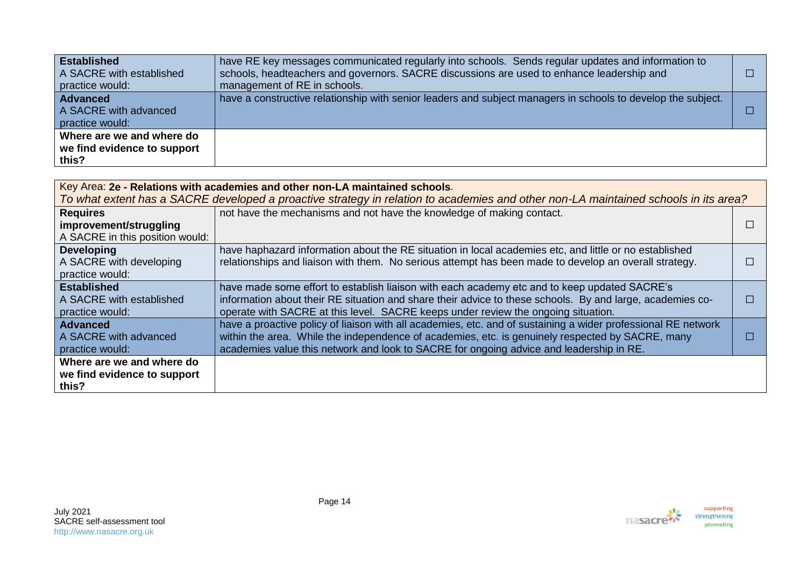| <b>Established</b><br>A SACRE with established<br>practice would: | have RE key messages communicated regularly into schools. Sends regular updates and information to<br>schools, headteachers and governors. SACRE discussions are used to enhance leadership and<br>management of RE in schools. |  |
|-------------------------------------------------------------------|---------------------------------------------------------------------------------------------------------------------------------------------------------------------------------------------------------------------------------|--|
| <b>Advanced</b><br>A SACRE with advanced<br>practice would:       | have a constructive relationship with senior leaders and subject managers in schools to develop the subject.                                                                                                                    |  |
| Where are we and where do<br>we find evidence to support<br>this? |                                                                                                                                                                                                                                 |  |

| Key Area: 2e - Relations with academies and other non-LA maintained schools. |                                                                                                                                     |  |
|------------------------------------------------------------------------------|-------------------------------------------------------------------------------------------------------------------------------------|--|
|                                                                              | To what extent has a SACRE developed a proactive strategy in relation to academies and other non-LA maintained schools in its area? |  |
| <b>Requires</b>                                                              | not have the mechanisms and not have the knowledge of making contact.                                                               |  |
| improvement/struggling                                                       |                                                                                                                                     |  |
| A SACRE in this position would:                                              |                                                                                                                                     |  |
| <b>Developing</b>                                                            | have haphazard information about the RE situation in local academies etc, and little or no established                              |  |
| A SACRE with developing                                                      | relationships and liaison with them. No serious attempt has been made to develop an overall strategy.                               |  |
| practice would:                                                              |                                                                                                                                     |  |
| <b>Established</b>                                                           | have made some effort to establish liaison with each academy etc and to keep updated SACRE's                                        |  |
| A SACRE with established                                                     | information about their RE situation and share their advice to these schools. By and large, academies co-                           |  |
| practice would:                                                              | operate with SACRE at this level. SACRE keeps under review the ongoing situation.                                                   |  |
| <b>Advanced</b>                                                              | have a proactive policy of liaison with all academies, etc. and of sustaining a wider professional RE network                       |  |
| A SACRE with advanced                                                        | within the area. While the independence of academies, etc. is genuinely respected by SACRE, many                                    |  |
| practice would:                                                              | academies value this network and look to SACRE for ongoing advice and leadership in RE.                                             |  |
| Where are we and where do                                                    |                                                                                                                                     |  |
| we find evidence to support                                                  |                                                                                                                                     |  |
| this?                                                                        |                                                                                                                                     |  |

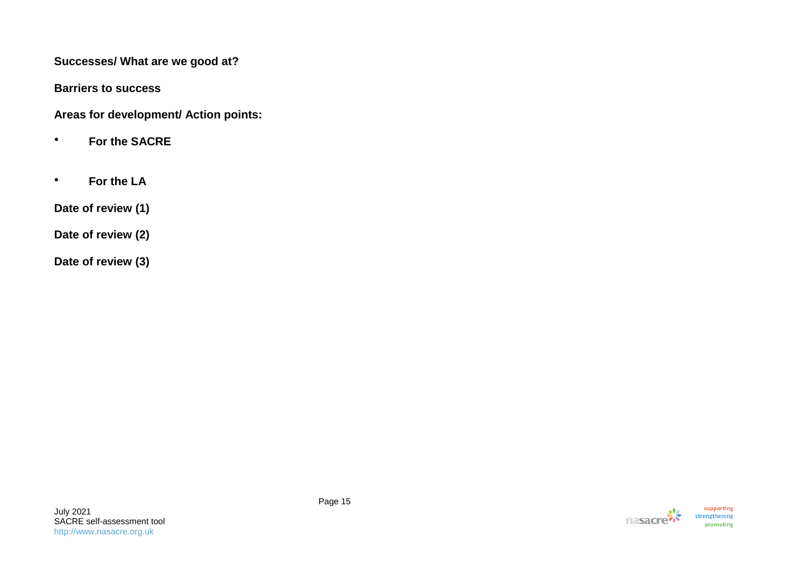**Barriers to success** 

**Areas for development/ Action points:**

- **For the SACRE**
- **For the LA**

**Date of review (1)** 

**Date of review (2)** 

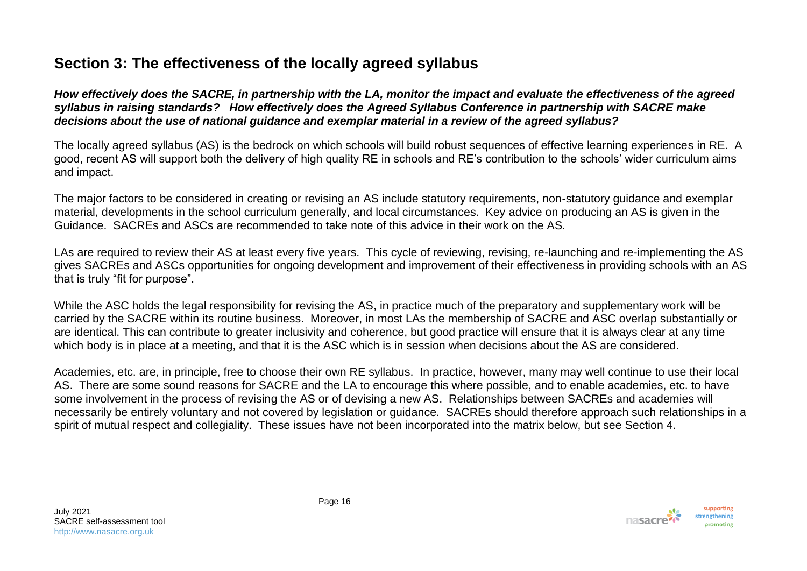# **Section 3: The effectiveness of the locally agreed syllabus**

*How effectively does the SACRE, in partnership with the LA, monitor the impact and evaluate the effectiveness of the agreed syllabus in raising standards? How effectively does the Agreed Syllabus Conference in partnership with SACRE make decisions about the use of national guidance and exemplar material in a review of the agreed syllabus?*

The locally agreed syllabus (AS) is the bedrock on which schools will build robust sequences of effective learning experiences in RE. A good, recent AS will support both the delivery of high quality RE in schools and RE's contribution to the schools' wider curriculum aims and impact.

The major factors to be considered in creating or revising an AS include statutory requirements, non-statutory guidance and exemplar material, developments in the school curriculum generally, and local circumstances. Key advice on producing an AS is given in the Guidance. SACREs and ASCs are recommended to take note of this advice in their work on the AS.

LAs are required to review their AS at least every five years. This cycle of reviewing, revising, re-launching and re-implementing the AS gives SACREs and ASCs opportunities for ongoing development and improvement of their effectiveness in providing schools with an AS that is truly "fit for purpose".

While the ASC holds the legal responsibility for revising the AS, in practice much of the preparatory and supplementary work will be carried by the SACRE within its routine business. Moreover, in most LAs the membership of SACRE and ASC overlap substantially or are identical. This can contribute to greater inclusivity and coherence, but good practice will ensure that it is always clear at any time which body is in place at a meeting, and that it is the ASC which is in session when decisions about the AS are considered.

Academies, etc. are, in principle, free to choose their own RE syllabus. In practice, however, many may well continue to use their local AS. There are some sound reasons for SACRE and the LA to encourage this where possible, and to enable academies, etc. to have some involvement in the process of revising the AS or of devising a new AS. Relationships between SACREs and academies will necessarily be entirely voluntary and not covered by legislation or guidance. SACREs should therefore approach such relationships in a spirit of mutual respect and collegiality. These issues have not been incorporated into the matrix below, but see Section 4.

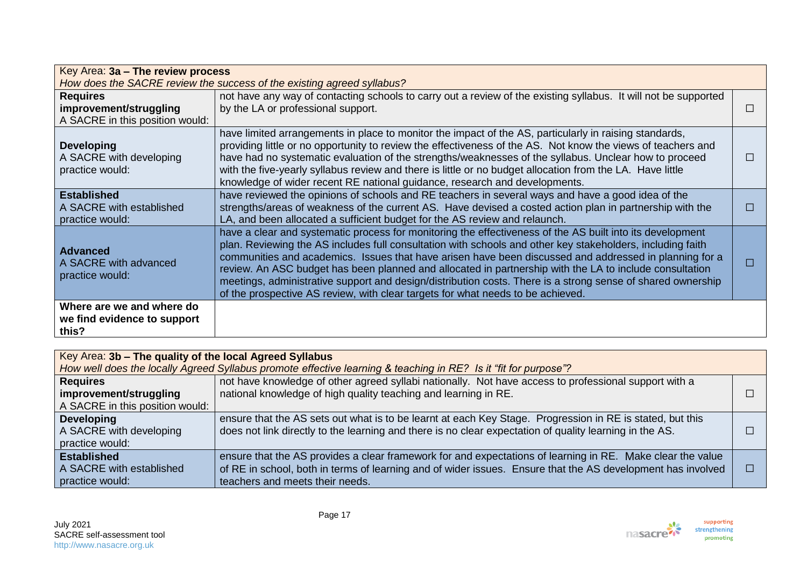| Key Area: 3a - The review process                                            |                                                                                                                                                                                                                                                                                                                                                                                                                                                                                                                                                                                                                                                |   |
|------------------------------------------------------------------------------|------------------------------------------------------------------------------------------------------------------------------------------------------------------------------------------------------------------------------------------------------------------------------------------------------------------------------------------------------------------------------------------------------------------------------------------------------------------------------------------------------------------------------------------------------------------------------------------------------------------------------------------------|---|
|                                                                              | How does the SACRE review the success of the existing agreed syllabus?                                                                                                                                                                                                                                                                                                                                                                                                                                                                                                                                                                         |   |
| <b>Requires</b><br>improvement/struggling<br>A SACRE in this position would: | not have any way of contacting schools to carry out a review of the existing syllabus. It will not be supported<br>by the LA or professional support.                                                                                                                                                                                                                                                                                                                                                                                                                                                                                          |   |
| <b>Developing</b><br>A SACRE with developing<br>practice would:              | have limited arrangements in place to monitor the impact of the AS, particularly in raising standards,<br>providing little or no opportunity to review the effectiveness of the AS. Not know the views of teachers and<br>have had no systematic evaluation of the strengths/weaknesses of the syllabus. Unclear how to proceed<br>with the five-yearly syllabus review and there is little or no budget allocation from the LA. Have little<br>knowledge of wider recent RE national guidance, research and developments.                                                                                                                     |   |
| <b>Established</b><br>A SACRE with established<br>practice would:            | have reviewed the opinions of schools and RE teachers in several ways and have a good idea of the<br>strengths/areas of weakness of the current AS. Have devised a costed action plan in partnership with the<br>LA, and been allocated a sufficient budget for the AS review and relaunch.                                                                                                                                                                                                                                                                                                                                                    |   |
| <b>Advanced</b><br>A SACRE with advanced<br>practice would:                  | have a clear and systematic process for monitoring the effectiveness of the AS built into its development<br>plan. Reviewing the AS includes full consultation with schools and other key stakeholders, including faith<br>communities and academics. Issues that have arisen have been discussed and addressed in planning for a<br>review. An ASC budget has been planned and allocated in partnership with the LA to include consultation<br>meetings, administrative support and design/distribution costs. There is a strong sense of shared ownership<br>of the prospective AS review, with clear targets for what needs to be achieved. | П |
| Where are we and where do<br>we find evidence to support<br>this?            |                                                                                                                                                                                                                                                                                                                                                                                                                                                                                                                                                                                                                                                |   |

| Key Area: 3b – The quality of the local Agreed Syllabus         |                                                                                                                                                                                                                                                              |  |
|-----------------------------------------------------------------|--------------------------------------------------------------------------------------------------------------------------------------------------------------------------------------------------------------------------------------------------------------|--|
|                                                                 | How well does the locally Agreed Syllabus promote effective learning & teaching in RE? Is it "fit for purpose"?                                                                                                                                              |  |
| <b>Requires</b>                                                 | not have knowledge of other agreed syllabi nationally. Not have access to professional support with a                                                                                                                                                        |  |
| improvement/struggling                                          | national knowledge of high quality teaching and learning in RE.                                                                                                                                                                                              |  |
| A SACRE in this position would:                                 |                                                                                                                                                                                                                                                              |  |
| <b>Developing</b><br>A SACRE with developing<br>practice would: | ensure that the AS sets out what is to be learnt at each Key Stage. Progression in RE is stated, but this<br>does not link directly to the learning and there is no clear expectation of quality learning in the AS.                                         |  |
| Established<br>A SACRE with established<br>practice would:      | ensure that the AS provides a clear framework for and expectations of learning in RE. Make clear the value<br>of RE in school, both in terms of learning and of wider issues. Ensure that the AS development has involved<br>teachers and meets their needs. |  |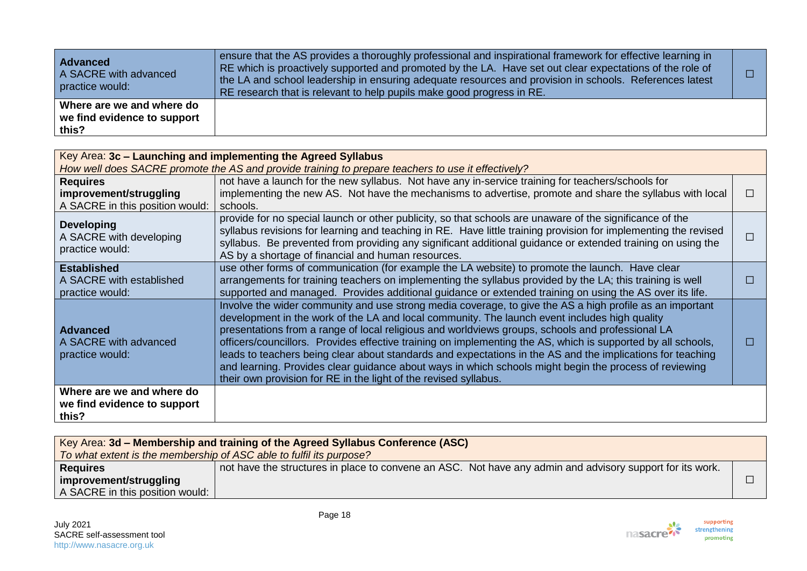| <b>Advanced</b><br>A SACRE with advanced<br>practice would:       | ensure that the AS provides a thoroughly professional and inspirational framework for effective learning in<br>RE which is proactively supported and promoted by the LA. Have set out clear expectations of the role of<br>the LA and school leadership in ensuring adequate resources and provision in schools. References latest<br>RE research that is relevant to help pupils make good progress in RE. |  |
|-------------------------------------------------------------------|-------------------------------------------------------------------------------------------------------------------------------------------------------------------------------------------------------------------------------------------------------------------------------------------------------------------------------------------------------------------------------------------------------------|--|
| Where are we and where do<br>we find evidence to support<br>this? |                                                                                                                                                                                                                                                                                                                                                                                                             |  |

| Key Area: 3c - Launching and implementing the Agreed Syllabus                |                                                                                                                                                                                                                                                                                                                                                                                                                                                                                                                                                                                                                                                                                                                           |  |
|------------------------------------------------------------------------------|---------------------------------------------------------------------------------------------------------------------------------------------------------------------------------------------------------------------------------------------------------------------------------------------------------------------------------------------------------------------------------------------------------------------------------------------------------------------------------------------------------------------------------------------------------------------------------------------------------------------------------------------------------------------------------------------------------------------------|--|
|                                                                              | How well does SACRE promote the AS and provide training to prepare teachers to use it effectively?                                                                                                                                                                                                                                                                                                                                                                                                                                                                                                                                                                                                                        |  |
| <b>Requires</b><br>improvement/struggling<br>A SACRE in this position would: | not have a launch for the new syllabus. Not have any in-service training for teachers/schools for<br>implementing the new AS. Not have the mechanisms to advertise, promote and share the syllabus with local<br>schools.                                                                                                                                                                                                                                                                                                                                                                                                                                                                                                 |  |
| <b>Developing</b><br>A SACRE with developing<br>practice would:              | provide for no special launch or other publicity, so that schools are unaware of the significance of the<br>syllabus revisions for learning and teaching in RE. Have little training provision for implementing the revised<br>syllabus. Be prevented from providing any significant additional guidance or extended training on using the<br>AS by a shortage of financial and human resources.                                                                                                                                                                                                                                                                                                                          |  |
| <b>Established</b><br>A SACRE with established<br>practice would:            | use other forms of communication (for example the LA website) to promote the launch. Have clear<br>arrangements for training teachers on implementing the syllabus provided by the LA; this training is well<br>supported and managed. Provides additional guidance or extended training on using the AS over its life.                                                                                                                                                                                                                                                                                                                                                                                                   |  |
| <b>Advanced</b><br>A SACRE with advanced<br>practice would:                  | Involve the wider community and use strong media coverage, to give the AS a high profile as an important<br>development in the work of the LA and local community. The launch event includes high quality<br>presentations from a range of local religious and worldviews groups, schools and professional LA<br>officers/councillors. Provides effective training on implementing the AS, which is supported by all schools,<br>leads to teachers being clear about standards and expectations in the AS and the implications for teaching<br>and learning. Provides clear guidance about ways in which schools might begin the process of reviewing<br>their own provision for RE in the light of the revised syllabus. |  |
| Where are we and where do<br>we find evidence to support                     |                                                                                                                                                                                                                                                                                                                                                                                                                                                                                                                                                                                                                                                                                                                           |  |
| this?                                                                        |                                                                                                                                                                                                                                                                                                                                                                                                                                                                                                                                                                                                                                                                                                                           |  |

|                                 | Key Area: 3d – Membership and training of the Agreed Syllabus Conference (ASC)<br>To what extent is the membership of ASC able to fulfil its purpose? |  |
|---------------------------------|-------------------------------------------------------------------------------------------------------------------------------------------------------|--|
| <b>Requires</b>                 | not have the structures in place to convene an ASC. Not have any admin and advisory support for its work.                                             |  |
| improvement/struggling          |                                                                                                                                                       |  |
| A SACRE in this position would: |                                                                                                                                                       |  |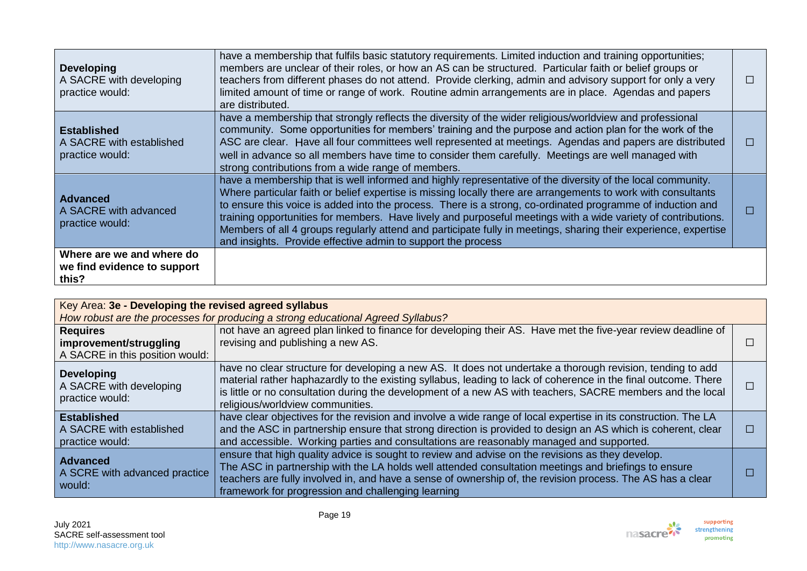| <b>Developing</b><br>A SACRE with developing<br>practice would:   | have a membership that fulfils basic statutory requirements. Limited induction and training opportunities;<br>members are unclear of their roles, or how an AS can be structured. Particular faith or belief groups or<br>teachers from different phases do not attend. Provide clerking, admin and advisory support for only a very<br>limited amount of time or range of work. Routine admin arrangements are in place. Agendas and papers<br>are distributed.                                                                                                                                                                              |  |
|-------------------------------------------------------------------|-----------------------------------------------------------------------------------------------------------------------------------------------------------------------------------------------------------------------------------------------------------------------------------------------------------------------------------------------------------------------------------------------------------------------------------------------------------------------------------------------------------------------------------------------------------------------------------------------------------------------------------------------|--|
| <b>Established</b><br>A SACRE with established<br>practice would: | have a membership that strongly reflects the diversity of the wider religious/worldview and professional<br>community. Some opportunities for members' training and the purpose and action plan for the work of the<br>ASC are clear. Have all four committees well represented at meetings. Agendas and papers are distributed<br>well in advance so all members have time to consider them carefully. Meetings are well managed with<br>strong contributions from a wide range of members.                                                                                                                                                  |  |
| <b>Advanced</b><br>A SACRE with advanced<br>practice would:       | have a membership that is well informed and highly representative of the diversity of the local community.<br>Where particular faith or belief expertise is missing locally there are arrangements to work with consultants<br>to ensure this voice is added into the process. There is a strong, co-ordinated programme of induction and<br>training opportunities for members. Have lively and purposeful meetings with a wide variety of contributions.<br>Members of all 4 groups regularly attend and participate fully in meetings, sharing their experience, expertise<br>and insights. Provide effective admin to support the process |  |
| Where are we and where do<br>we find evidence to support<br>this? |                                                                                                                                                                                                                                                                                                                                                                                                                                                                                                                                                                                                                                               |  |

| Key Area: 3e - Developing the revised agreed syllabus             |                                                                                                                                                                                                                                                                                                                                                                                |  |
|-------------------------------------------------------------------|--------------------------------------------------------------------------------------------------------------------------------------------------------------------------------------------------------------------------------------------------------------------------------------------------------------------------------------------------------------------------------|--|
|                                                                   | How robust are the processes for producing a strong educational Agreed Syllabus?                                                                                                                                                                                                                                                                                               |  |
| <b>Requires</b>                                                   | not have an agreed plan linked to finance for developing their AS. Have met the five-year review deadline of                                                                                                                                                                                                                                                                   |  |
| improvement/struggling                                            | revising and publishing a new AS.                                                                                                                                                                                                                                                                                                                                              |  |
| A SACRE in this position would:                                   |                                                                                                                                                                                                                                                                                                                                                                                |  |
| <b>Developing</b><br>A SACRE with developing<br>practice would:   | have no clear structure for developing a new AS. It does not undertake a thorough revision, tending to add<br>material rather haphazardly to the existing syllabus, leading to lack of coherence in the final outcome. There<br>is little or no consultation during the development of a new AS with teachers, SACRE members and the local<br>religious/worldview communities. |  |
| <b>Established</b><br>A SACRE with established<br>practice would: | have clear objectives for the revision and involve a wide range of local expertise in its construction. The LA<br>and the ASC in partnership ensure that strong direction is provided to design an AS which is coherent, clear<br>and accessible. Working parties and consultations are reasonably managed and supported.                                                      |  |
| Advanced<br>A SCRE with advanced practice<br>would:               | ensure that high quality advice is sought to review and advise on the revisions as they develop.<br>The ASC in partnership with the LA holds well attended consultation meetings and briefings to ensure<br>teachers are fully involved in, and have a sense of ownership of, the revision process. The AS has a clear<br>framework for progression and challenging learning   |  |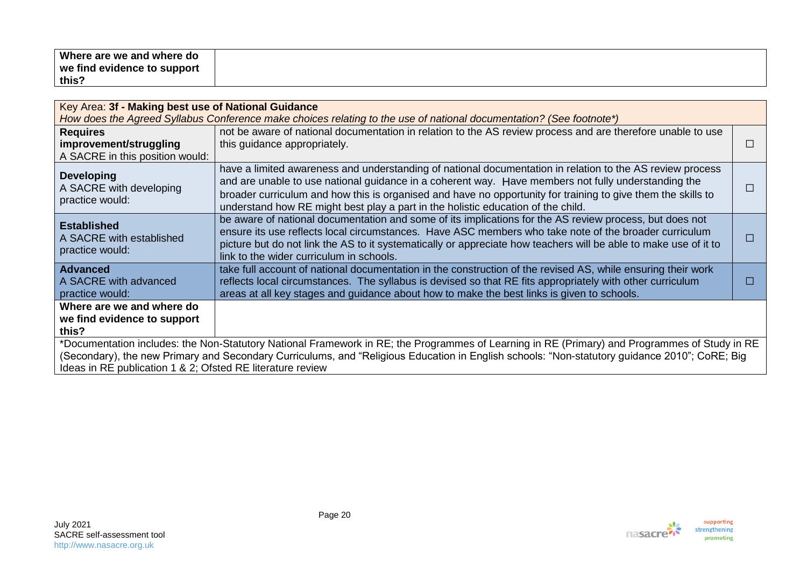| Where are we and where do   |  |
|-----------------------------|--|
| we find evidence to support |  |
| this?                       |  |

| Key Area: 3f - Making best use of National Guidance                                                                                           |                                                                                                                     |  |  |  |
|-----------------------------------------------------------------------------------------------------------------------------------------------|---------------------------------------------------------------------------------------------------------------------|--|--|--|
|                                                                                                                                               | How does the Agreed Syllabus Conference make choices relating to the use of national documentation? (See footnote*) |  |  |  |
| <b>Requires</b>                                                                                                                               | not be aware of national documentation in relation to the AS review process and are therefore unable to use         |  |  |  |
| improvement/struggling                                                                                                                        | this guidance appropriately.                                                                                        |  |  |  |
| A SACRE in this position would:                                                                                                               |                                                                                                                     |  |  |  |
|                                                                                                                                               |                                                                                                                     |  |  |  |
| <b>Developing</b>                                                                                                                             | have a limited awareness and understanding of national documentation in relation to the AS review process           |  |  |  |
| A SACRE with developing                                                                                                                       | and are unable to use national guidance in a coherent way. Have members not fully understanding the                 |  |  |  |
| practice would:                                                                                                                               | broader curriculum and how this is organised and have no opportunity for training to give them the skills to        |  |  |  |
|                                                                                                                                               | understand how RE might best play a part in the holistic education of the child.                                    |  |  |  |
|                                                                                                                                               | be aware of national documentation and some of its implications for the AS review process, but does not             |  |  |  |
| <b>Established</b>                                                                                                                            | ensure its use reflects local circumstances. Have ASC members who take note of the broader curriculum               |  |  |  |
| A SACRE with established                                                                                                                      | picture but do not link the AS to it systematically or appreciate how teachers will be able to make use of it to    |  |  |  |
| practice would:                                                                                                                               |                                                                                                                     |  |  |  |
|                                                                                                                                               | link to the wider curriculum in schools.                                                                            |  |  |  |
| <b>Advanced</b>                                                                                                                               | take full account of national documentation in the construction of the revised AS, while ensuring their work        |  |  |  |
| A SACRE with advanced                                                                                                                         | reflects local circumstances. The syllabus is devised so that RE fits appropriately with other curriculum           |  |  |  |
| practice would:                                                                                                                               | areas at all key stages and guidance about how to make the best links is given to schools.                          |  |  |  |
| Where are we and where do                                                                                                                     |                                                                                                                     |  |  |  |
| we find evidence to support                                                                                                                   |                                                                                                                     |  |  |  |
| this?                                                                                                                                         |                                                                                                                     |  |  |  |
|                                                                                                                                               |                                                                                                                     |  |  |  |
| *Documentation includes: the Non-Statutory National Framework in RE; the Programmes of Learning in RE (Primary) and Programmes of Study in RE |                                                                                                                     |  |  |  |
| (Secondary), the new Primary and Secondary Curriculums, and "Religious Education in English schools: "Non-statutory guidance 2010"; CoRE; Big |                                                                                                                     |  |  |  |
| Ideas in RE publication 1 & 2; Ofsted RE literature review                                                                                    |                                                                                                                     |  |  |  |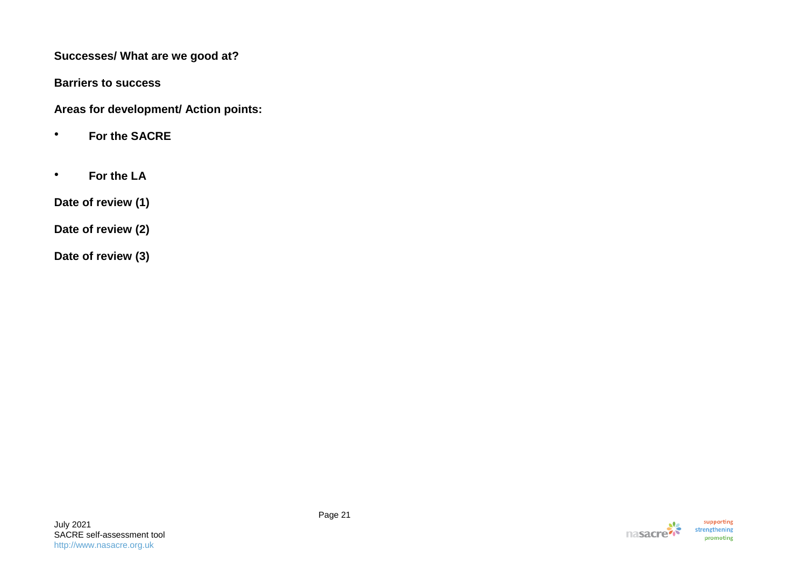**Barriers to success** 

**Areas for development/ Action points:**

- **For the SACRE**
- **For the LA**

**Date of review (1)** 

**Date of review (2)** 

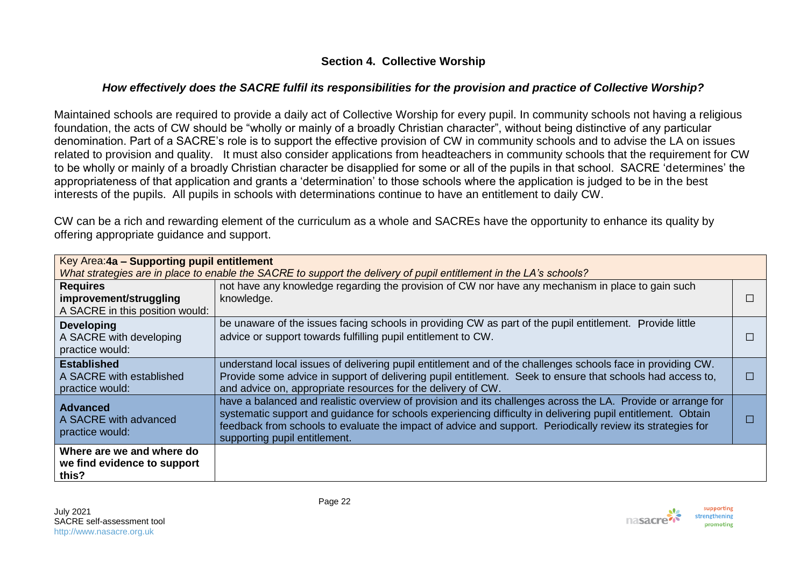## **Section 4. Collective Worship**

### *How effectively does the SACRE fulfil its responsibilities for the provision and practice of Collective Worship?*

Maintained schools are required to provide a daily act of Collective Worship for every pupil. In community schools not having a religious foundation, the acts of CW should be "wholly or mainly of a broadly Christian character", without being distinctive of any particular denomination. Part of a SACRE's role is to support the effective provision of CW in community schools and to advise the LA on issues related to provision and quality. It must also consider applications from headteachers in community schools that the requirement for CW to be wholly or mainly of a broadly Christian character be disapplied for some or all of the pupils in that school. SACRE 'determines' the appropriateness of that application and grants a 'determination' to those schools where the application is judged to be in the best interests of the pupils. All pupils in schools with determinations continue to have an entitlement to daily CW.

Key Area:**4a – Supporting pupil entitlement** *What strategies are in place to enable the SACRE to support the delivery of pupil entitlement in the LA's schools?* **Requires improvement/struggling** A SACRE in this position would: not have any knowledge regarding the provision of CW nor have any mechanism in place to gain such knowledge.  $\Box$ **Developing** A SACRE with developing practice would: be unaware of the issues facing schools in providing CW as part of the pupil entitlement. Provide little advice or support towards fulfilling pupil entitlement to CW. ☐ **Established** A SACRE with established practice would: understand local issues of delivering pupil entitlement and of the challenges schools face in providing CW. Provide some advice in support of delivering pupil entitlement. Seek to ensure that schools had access to, and advice on, appropriate resources for the delivery of CW.  $\Box$ **Advanced** A SACRE with advanced practice would: have a balanced and realistic overview of provision and its challenges across the LA. Provide or arrange for systematic support and guidance for schools experiencing difficulty in delivering pupil entitlement. Obtain feedback from schools to evaluate the impact of advice and support. Periodically review its strategies for supporting pupil entitlement.  $\Box$ **Where are we and where do we find evidence to support this?**

CW can be a rich and rewarding element of the curriculum as a whole and SACREs have the opportunity to enhance its quality by offering appropriate guidance and support.

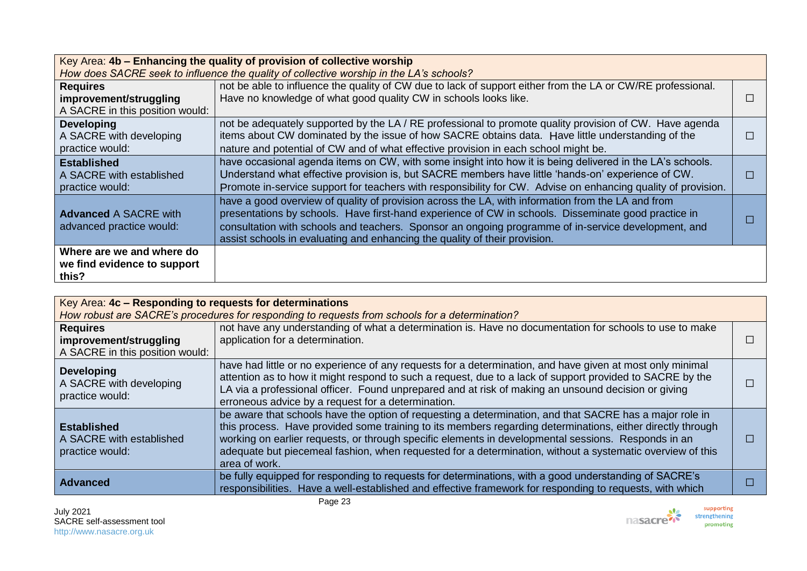| Key Area: 4b - Enhancing the quality of provision of collective worship                 |                                                                                                               |  |
|-----------------------------------------------------------------------------------------|---------------------------------------------------------------------------------------------------------------|--|
| How does SACRE seek to influence the quality of collective worship in the LA's schools? |                                                                                                               |  |
| <b>Requires</b>                                                                         | not be able to influence the quality of CW due to lack of support either from the LA or CW/RE professional.   |  |
| improvement/struggling                                                                  | Have no knowledge of what good quality CW in schools looks like.                                              |  |
| A SACRE in this position would:                                                         |                                                                                                               |  |
| <b>Developing</b>                                                                       | not be adequately supported by the LA / RE professional to promote quality provision of CW. Have agenda       |  |
| A SACRE with developing                                                                 | items about CW dominated by the issue of how SACRE obtains data. Have little understanding of the             |  |
| practice would:                                                                         | nature and potential of CW and of what effective provision in each school might be.                           |  |
| <b>Established</b>                                                                      | have occasional agenda items on CW, with some insight into how it is being delivered in the LA's schools.     |  |
| A SACRE with established                                                                | Understand what effective provision is, but SACRE members have little 'hands-on' experience of CW.            |  |
| practice would:                                                                         | Promote in-service support for teachers with responsibility for CW. Advise on enhancing quality of provision. |  |
|                                                                                         | have a good overview of quality of provision across the LA, with information from the LA and from             |  |
| <b>Advanced A SACRE with</b>                                                            | presentations by schools. Have first-hand experience of CW in schools. Disseminate good practice in           |  |
| advanced practice would:                                                                | consultation with schools and teachers. Sponsor an ongoing programme of in-service development, and           |  |
|                                                                                         | assist schools in evaluating and enhancing the quality of their provision.                                    |  |
| Where are we and where do                                                               |                                                                                                               |  |
| we find evidence to support                                                             |                                                                                                               |  |
| this?                                                                                   |                                                                                                               |  |

| Key Area: 4c - Responding to requests for determinations                                       |                                                                                                                                                                                                                                                                                                                                                                                                                                                            |  |
|------------------------------------------------------------------------------------------------|------------------------------------------------------------------------------------------------------------------------------------------------------------------------------------------------------------------------------------------------------------------------------------------------------------------------------------------------------------------------------------------------------------------------------------------------------------|--|
| How robust are SACRE's procedures for responding to requests from schools for a determination? |                                                                                                                                                                                                                                                                                                                                                                                                                                                            |  |
| <b>Requires</b><br>improvement/struggling                                                      | not have any understanding of what a determination is. Have no documentation for schools to use to make<br>application for a determination.                                                                                                                                                                                                                                                                                                                |  |
| A SACRE in this position would:                                                                |                                                                                                                                                                                                                                                                                                                                                                                                                                                            |  |
| <b>Developing</b><br>A SACRE with developing<br>practice would:                                | have had little or no experience of any requests for a determination, and have given at most only minimal<br>attention as to how it might respond to such a request, due to a lack of support provided to SACRE by the<br>LA via a professional officer. Found unprepared and at risk of making an unsound decision or giving<br>erroneous advice by a request for a determination.                                                                        |  |
| <b>Established</b><br>A SACRE with established<br>practice would:                              | be aware that schools have the option of requesting a determination, and that SACRE has a major role in<br>this process. Have provided some training to its members regarding determinations, either directly through<br>working on earlier requests, or through specific elements in developmental sessions. Responds in an<br>adequate but piecemeal fashion, when requested for a determination, without a systematic overview of this<br>area of work. |  |
| <b>Advanced</b>                                                                                | be fully equipped for responding to requests for determinations, with a good understanding of SACRE's<br>responsibilities. Have a well-established and effective framework for responding to requests, with which                                                                                                                                                                                                                                          |  |
| Page 23                                                                                        |                                                                                                                                                                                                                                                                                                                                                                                                                                                            |  |

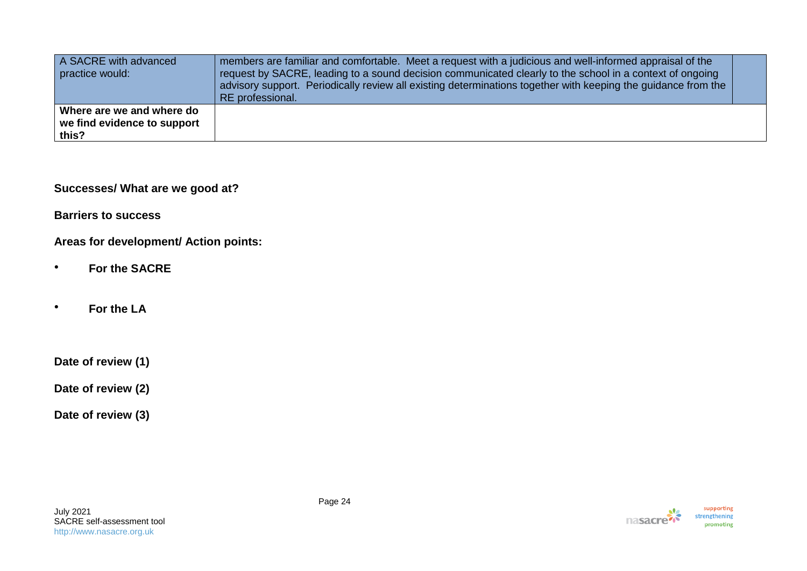| A SACRE with advanced<br>practice would:                          | members are familiar and comfortable. Meet a request with a judicious and well-informed appraisal of the<br>request by SACRE, leading to a sound decision communicated clearly to the school in a context of ongoing<br>advisory support. Periodically review all existing determinations together with keeping the guidance from the<br>RE professional. |  |
|-------------------------------------------------------------------|-----------------------------------------------------------------------------------------------------------------------------------------------------------------------------------------------------------------------------------------------------------------------------------------------------------------------------------------------------------|--|
| Where are we and where do<br>we find evidence to support<br>this? |                                                                                                                                                                                                                                                                                                                                                           |  |

**Barriers to success** 

**Areas for development/ Action points:**

- **For the SACRE**
- **For the LA**

**Date of review (1)** 

**Date of review (2)** 

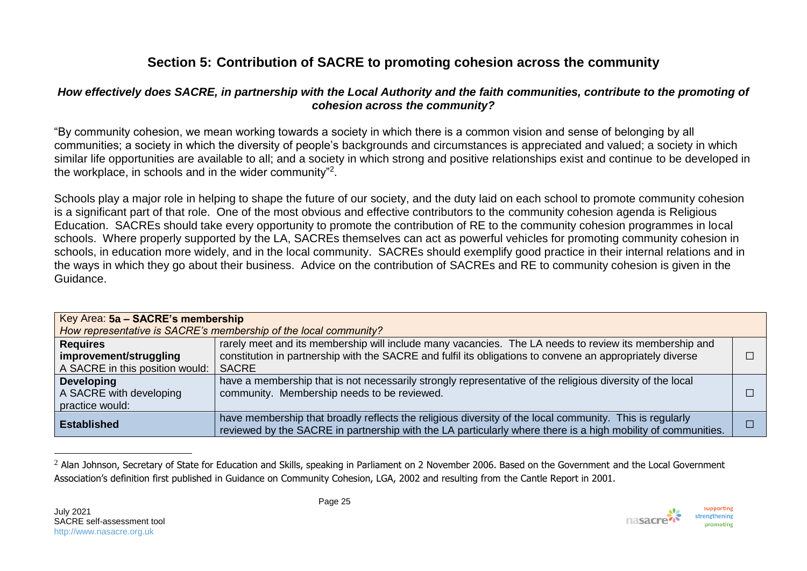## **Section 5: Contribution of SACRE to promoting cohesion across the community**

#### *How effectively does SACRE, in partnership with the Local Authority and the faith communities, contribute to the promoting of cohesion across the community?*

"By community cohesion, we mean working towards a society in which there is a common vision and sense of belonging by all communities; a society in which the diversity of people's backgrounds and circumstances is appreciated and valued; a society in which similar life opportunities are available to all; and a society in which strong and positive relationships exist and continue to be developed in the workplace, in schools and in the wider community"<sup>2</sup>.

Schools play a major role in helping to shape the future of our society, and the duty laid on each school to promote community cohesion is a significant part of that role. One of the most obvious and effective contributors to the community cohesion agenda is Religious Education. SACREs should take every opportunity to promote the contribution of RE to the community cohesion programmes in local schools. Where properly supported by the LA, SACREs themselves can act as powerful vehicles for promoting community cohesion in schools, in education more widely, and in the local community. SACREs should exemplify good practice in their internal relations and in the ways in which they go about their business. Advice on the contribution of SACREs and RE to community cohesion is given in the Guidance.

| Key Area: 5a - SACRE's membership<br>How representative is SACRE's membership of the local community? |                                                                                                                                                                                                                                    |  |
|-------------------------------------------------------------------------------------------------------|------------------------------------------------------------------------------------------------------------------------------------------------------------------------------------------------------------------------------------|--|
| <b>Requires</b><br>improvement/struggling<br>A SACRE in this position would:                          | rarely meet and its membership will include many vacancies. The LA needs to review its membership and<br>constitution in partnership with the SACRE and fulfil its obligations to convene an appropriately diverse<br><b>SACRE</b> |  |
| <b>Developing</b><br>A SACRE with developing<br>practice would:                                       | have a membership that is not necessarily strongly representative of the religious diversity of the local<br>community. Membership needs to be reviewed.                                                                           |  |
| <b>Established</b>                                                                                    | have membership that broadly reflects the religious diversity of the local community. This is regularly<br>reviewed by the SACRE in partnership with the LA particularly where there is a high mobility of communities.            |  |

 $<sup>2</sup>$  Alan Johnson, Secretary of State for Education and Skills, speaking in Parliament on 2 November 2006. Based on the Government and the Local Government</sup> Association's definition first published in Guidance on Community Cohesion, LGA, 2002 and resulting from the Cantle Report in 2001.

 $\overline{a}$ 

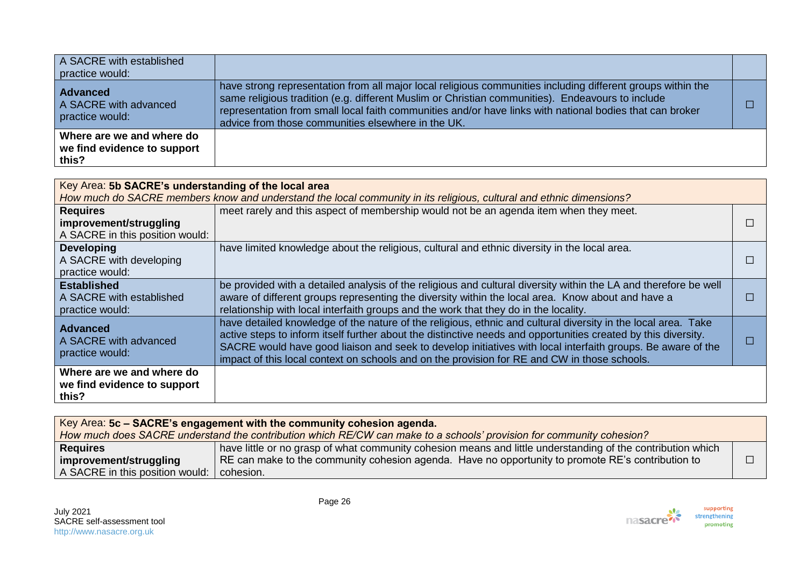| A SACRE with established<br>practice would:                       |                                                                                                                                                                                                                                                                                                                                                                                   |  |
|-------------------------------------------------------------------|-----------------------------------------------------------------------------------------------------------------------------------------------------------------------------------------------------------------------------------------------------------------------------------------------------------------------------------------------------------------------------------|--|
| <b>Advanced</b><br>A SACRE with advanced<br>practice would:       | have strong representation from all major local religious communities including different groups within the<br>same religious tradition (e.g. different Muslim or Christian communities). Endeavours to include<br>representation from small local faith communities and/or have links with national bodies that can broker<br>advice from those communities elsewhere in the UK. |  |
| Where are we and where do<br>we find evidence to support<br>this? |                                                                                                                                                                                                                                                                                                                                                                                   |  |

| Key Area: 5b SACRE's understanding of the local area                                                                |                                                                                                                                                                                                                                 |  |
|---------------------------------------------------------------------------------------------------------------------|---------------------------------------------------------------------------------------------------------------------------------------------------------------------------------------------------------------------------------|--|
| How much do SACRE members know and understand the local community in its religious, cultural and ethnic dimensions? |                                                                                                                                                                                                                                 |  |
| <b>Requires</b>                                                                                                     | meet rarely and this aspect of membership would not be an agenda item when they meet.                                                                                                                                           |  |
| improvement/struggling                                                                                              |                                                                                                                                                                                                                                 |  |
| A SACRE in this position would:                                                                                     |                                                                                                                                                                                                                                 |  |
| <b>Developing</b>                                                                                                   | have limited knowledge about the religious, cultural and ethnic diversity in the local area.                                                                                                                                    |  |
| A SACRE with developing                                                                                             |                                                                                                                                                                                                                                 |  |
| practice would:                                                                                                     |                                                                                                                                                                                                                                 |  |
| <b>Established</b>                                                                                                  | be provided with a detailed analysis of the religious and cultural diversity within the LA and therefore be well                                                                                                                |  |
| A SACRE with established                                                                                            | aware of different groups representing the diversity within the local area. Know about and have a                                                                                                                               |  |
| practice would:                                                                                                     | relationship with local interfaith groups and the work that they do in the locality.                                                                                                                                            |  |
| <b>Advanced</b>                                                                                                     | have detailed knowledge of the nature of the religious, ethnic and cultural diversity in the local area. Take<br>active steps to inform itself further about the distinctive needs and opportunities created by this diversity. |  |
| A SACRE with advanced                                                                                               | SACRE would have good liaison and seek to develop initiatives with local interfaith groups. Be aware of the                                                                                                                     |  |
| practice would:                                                                                                     | impact of this local context on schools and on the provision for RE and CW in those schools.                                                                                                                                    |  |
| Where are we and where do                                                                                           |                                                                                                                                                                                                                                 |  |
| we find evidence to support                                                                                         |                                                                                                                                                                                                                                 |  |
| this?                                                                                                               |                                                                                                                                                                                                                                 |  |

| Key Area: 5c – SACRE's engagement with the community cohesion agenda.                                                |                                                                                                             |  |
|----------------------------------------------------------------------------------------------------------------------|-------------------------------------------------------------------------------------------------------------|--|
| How much does SACRE understand the contribution which RE/CW can make to a schools' provision for community cohesion? |                                                                                                             |  |
| <b>Requires</b>                                                                                                      | have little or no grasp of what community cohesion means and little understanding of the contribution which |  |
| improvement/struggling                                                                                               | RE can make to the community cohesion agenda. Have no opportunity to promote RE's contribution to           |  |
| A SACRE in this position would:   cohesion.                                                                          |                                                                                                             |  |

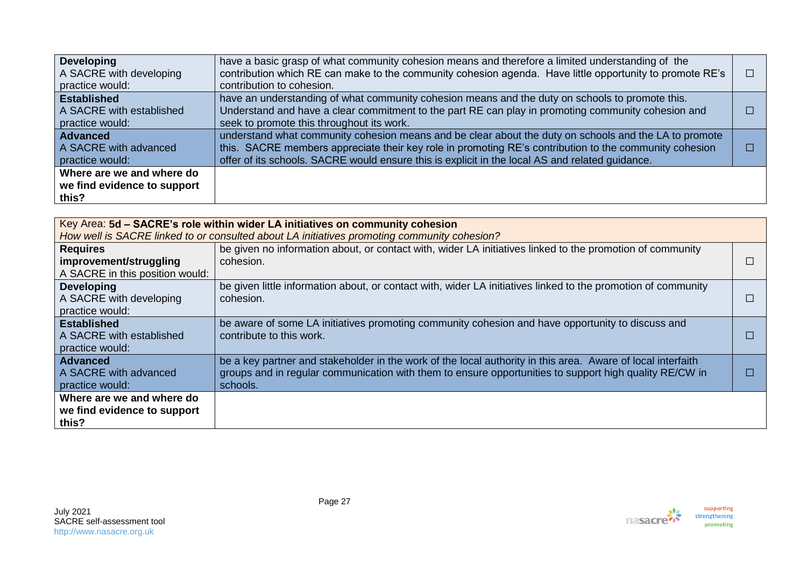| <b>Developing</b><br>A SACRE with developing<br>practice would:   | have a basic grasp of what community cohesion means and therefore a limited understanding of the<br>contribution which RE can make to the community cohesion agenda. Have little opportunity to promote RE's<br>contribution to cohesion.                                                                          |  |
|-------------------------------------------------------------------|--------------------------------------------------------------------------------------------------------------------------------------------------------------------------------------------------------------------------------------------------------------------------------------------------------------------|--|
| <b>Established</b><br>A SACRE with established<br>practice would: | have an understanding of what community cohesion means and the duty on schools to promote this.<br>Understand and have a clear commitment to the part RE can play in promoting community cohesion and<br>seek to promote this throughout its work.                                                                 |  |
| <b>Advanced</b><br>A SACRE with advanced<br>practice would:       | understand what community cohesion means and be clear about the duty on schools and the LA to promote<br>this. SACRE members appreciate their key role in promoting RE's contribution to the community cohesion<br>offer of its schools. SACRE would ensure this is explicit in the local AS and related guidance. |  |
| Where are we and where do<br>we find evidence to support<br>this? |                                                                                                                                                                                                                                                                                                                    |  |

| Key Area: 5d - SACRE's role within wider LA initiatives on community cohesion               |                                                                                                               |  |  |
|---------------------------------------------------------------------------------------------|---------------------------------------------------------------------------------------------------------------|--|--|
| How well is SACRE linked to or consulted about LA initiatives promoting community cohesion? |                                                                                                               |  |  |
| <b>Requires</b>                                                                             | be given no information about, or contact with, wider LA initiatives linked to the promotion of community     |  |  |
| improvement/struggling                                                                      | cohesion.                                                                                                     |  |  |
| A SACRE in this position would:                                                             |                                                                                                               |  |  |
| <b>Developing</b>                                                                           | be given little information about, or contact with, wider LA initiatives linked to the promotion of community |  |  |
| A SACRE with developing                                                                     | cohesion.                                                                                                     |  |  |
| practice would:                                                                             |                                                                                                               |  |  |
| <b>Established</b>                                                                          | be aware of some LA initiatives promoting community cohesion and have opportunity to discuss and              |  |  |
| A SACRE with established                                                                    | contribute to this work.                                                                                      |  |  |
| practice would:                                                                             |                                                                                                               |  |  |
| <b>Advanced</b>                                                                             | be a key partner and stakeholder in the work of the local authority in this area. Aware of local interfaith   |  |  |
| A SACRE with advanced                                                                       | groups and in regular communication with them to ensure opportunities to support high quality RE/CW in        |  |  |
| practice would:                                                                             | schools.                                                                                                      |  |  |
| Where are we and where do                                                                   |                                                                                                               |  |  |
| we find evidence to support                                                                 |                                                                                                               |  |  |
| this?                                                                                       |                                                                                                               |  |  |

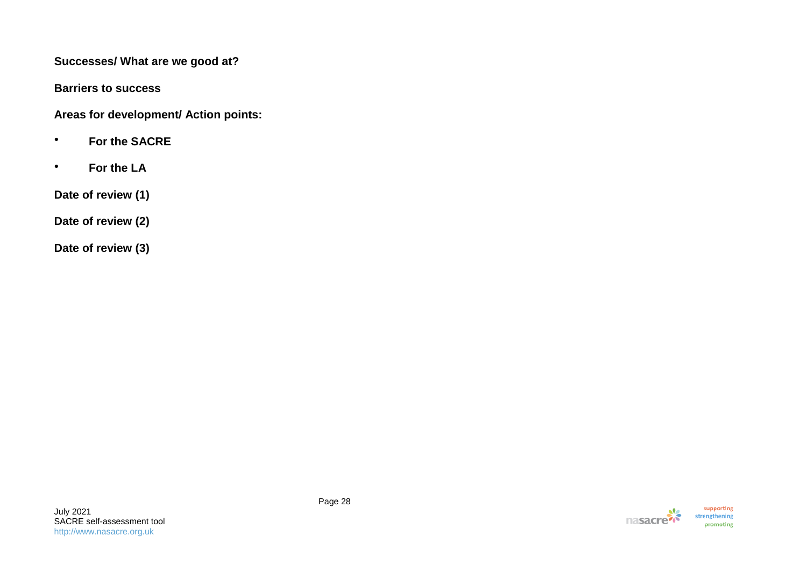**Barriers to success** 

**Areas for development/ Action points:**

- **For the SACRE**
- **For the LA**

**Date of review (1)** 

**Date of review (2)**